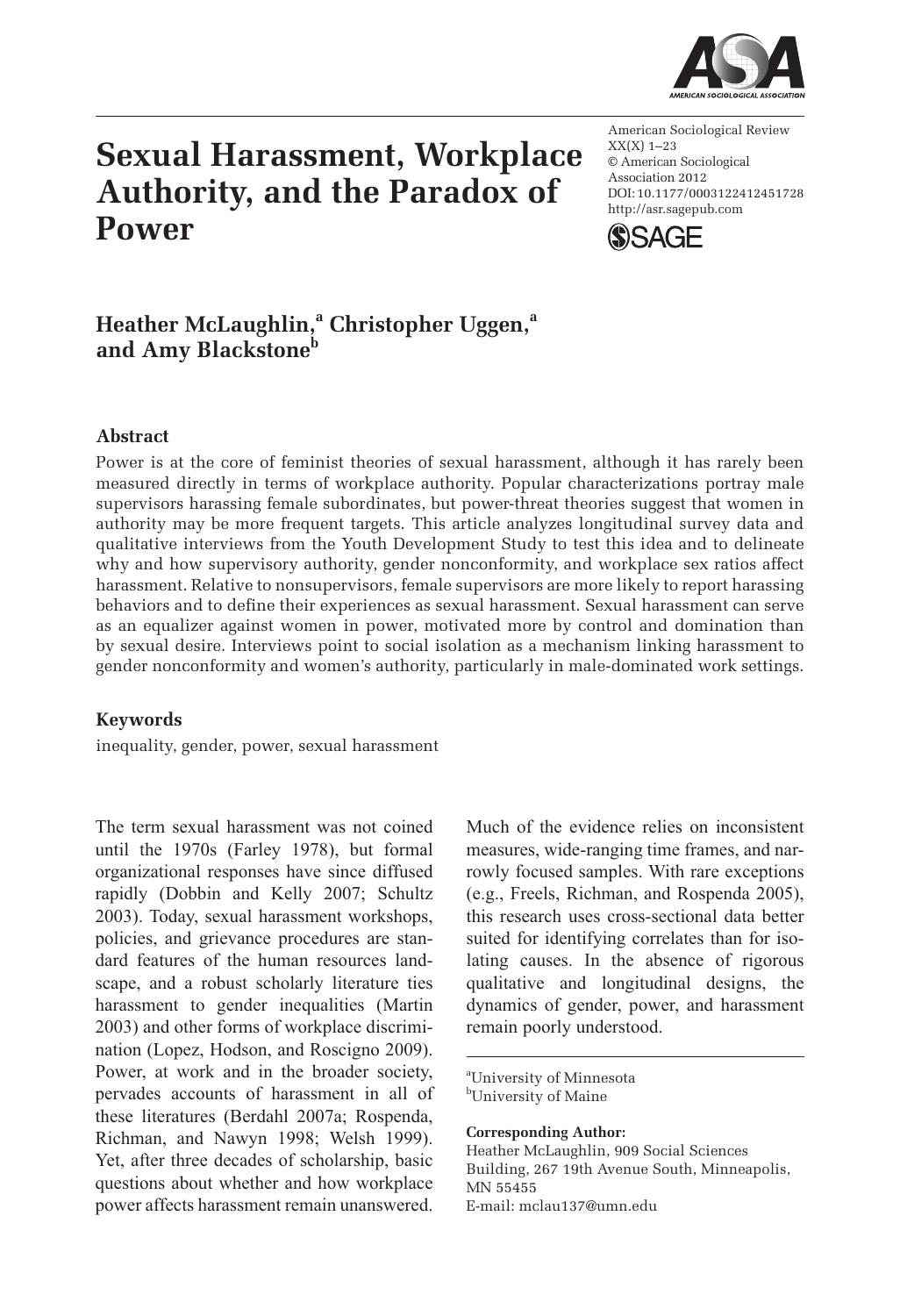

# **Sexual Harassment, Workplace Authority, and the Paradox of Power**

American Sociological Review XX(X) 1–23 © American Sociological Association 2012 DOI: 10.1177/0003122412451728 http://asr.sagepub.com



# $Heather$  McLaughlin,<sup>a</sup> Christopher Uggen,<sup>a</sup> **and Amy Blackstone<sup>b</sup>**

#### **Abstract**

Power is at the core of feminist theories of sexual harassment, although it has rarely been measured directly in terms of workplace authority. Popular characterizations portray male supervisors harassing female subordinates, but power-threat theories suggest that women in authority may be more frequent targets. This article analyzes longitudinal survey data and qualitative interviews from the Youth Development Study to test this idea and to delineate why and how supervisory authority, gender nonconformity, and workplace sex ratios affect harassment. Relative to nonsupervisors, female supervisors are more likely to report harassing behaviors and to define their experiences as sexual harassment. Sexual harassment can serve as an equalizer against women in power, motivated more by control and domination than by sexual desire. Interviews point to social isolation as a mechanism linking harassment to gender nonconformity and women's authority, particularly in male-dominated work settings.

#### **Keywords**

inequality, gender, power, sexual harassment

The term sexual harassment was not coined until the 1970s (Farley 1978), but formal organizational responses have since diffused rapidly (Dobbin and Kelly 2007; Schultz 2003). Today, sexual harassment workshops, policies, and grievance procedures are standard features of the human resources landscape, and a robust scholarly literature ties harassment to gender inequalities (Martin 2003) and other forms of workplace discrimination (Lopez, Hodson, and Roscigno 2009). Power, at work and in the broader society, pervades accounts of harassment in all of these literatures (Berdahl 2007a; Rospenda, Richman, and Nawyn 1998; Welsh 1999). Yet, after three decades of scholarship, basic questions about whether and how workplace power affects harassment remain unanswered. Much of the evidence relies on inconsistent measures, wide-ranging time frames, and narrowly focused samples. With rare exceptions (e.g., Freels, Richman, and Rospenda 2005), this research uses cross-sectional data better suited for identifying correlates than for isolating causes. In the absence of rigorous qualitative and longitudinal designs, the dynamics of gender, power, and harassment remain poorly understood.

a University of Minnesota b University of Maine

**Corresponding Author:**

Heather McLaughlin, 909 Social Sciences Building, 267 19th Avenue South, Minneapolis, MN 55455 E-mail: mclau137@umn.edu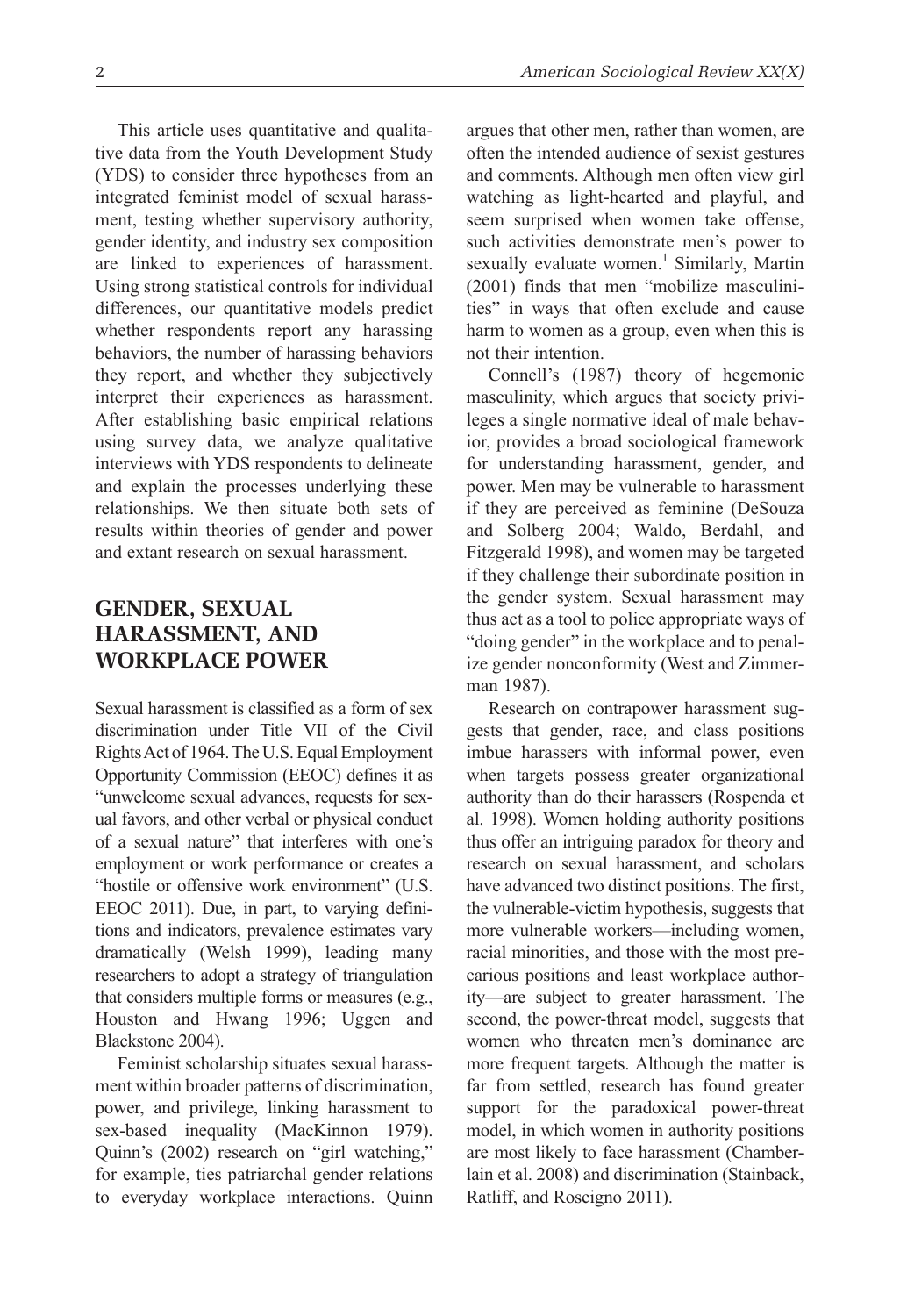This article uses quantitative and qualitative data from the Youth Development Study (YDS) to consider three hypotheses from an integrated feminist model of sexual harassment, testing whether supervisory authority, gender identity, and industry sex composition are linked to experiences of harassment. Using strong statistical controls for individual differences, our quantitative models predict whether respondents report any harassing behaviors, the number of harassing behaviors they report, and whether they subjectively interpret their experiences as harassment. After establishing basic empirical relations using survey data, we analyze qualitative interviews with YDS respondents to delineate and explain the processes underlying these relationships. We then situate both sets of results within theories of gender and power and extant research on sexual harassment.

# **Gender, Sexual Harassment, And Workplace Power**

Sexual harassment is classified as a form of sex discrimination under Title VII of the Civil Rights Act of 1964. The U.S. Equal Employment Opportunity Commission (EEOC) defines it as "unwelcome sexual advances, requests for sexual favors, and other verbal or physical conduct of a sexual nature" that interferes with one's employment or work performance or creates a "hostile or offensive work environment" (U.S. EEOC 2011). Due, in part, to varying definitions and indicators, prevalence estimates vary dramatically (Welsh 1999), leading many researchers to adopt a strategy of triangulation that considers multiple forms or measures (e.g., Houston and Hwang 1996; Uggen and Blackstone 2004).

Feminist scholarship situates sexual harassment within broader patterns of discrimination, power, and privilege, linking harassment to sex-based inequality (MacKinnon 1979). Quinn's (2002) research on "girl watching," for example, ties patriarchal gender relations to everyday workplace interactions. Quinn argues that other men, rather than women, are often the intended audience of sexist gestures and comments. Although men often view girl watching as light-hearted and playful, and seem surprised when women take offense, such activities demonstrate men's power to sexually evaluate women.<sup>1</sup> Similarly, Martin (2001) finds that men "mobilize masculinities" in ways that often exclude and cause harm to women as a group, even when this is not their intention.

Connell's (1987) theory of hegemonic masculinity, which argues that society privileges a single normative ideal of male behavior, provides a broad sociological framework for understanding harassment, gender, and power. Men may be vulnerable to harassment if they are perceived as feminine (DeSouza and Solberg 2004; Waldo, Berdahl, and Fitzgerald 1998), and women may be targeted if they challenge their subordinate position in the gender system. Sexual harassment may thus act as a tool to police appropriate ways of "doing gender" in the workplace and to penalize gender nonconformity (West and Zimmerman 1987).

Research on contrapower harassment suggests that gender, race, and class positions imbue harassers with informal power, even when targets possess greater organizational authority than do their harassers (Rospenda et al. 1998). Women holding authority positions thus offer an intriguing paradox for theory and research on sexual harassment, and scholars have advanced two distinct positions. The first, the vulnerable-victim hypothesis, suggests that more vulnerable workers—including women, racial minorities, and those with the most precarious positions and least workplace authority—are subject to greater harassment. The second, the power-threat model, suggests that women who threaten men's dominance are more frequent targets. Although the matter is far from settled, research has found greater support for the paradoxical power-threat model, in which women in authority positions are most likely to face harassment (Chamberlain et al. 2008) and discrimination (Stainback, Ratliff, and Roscigno 2011).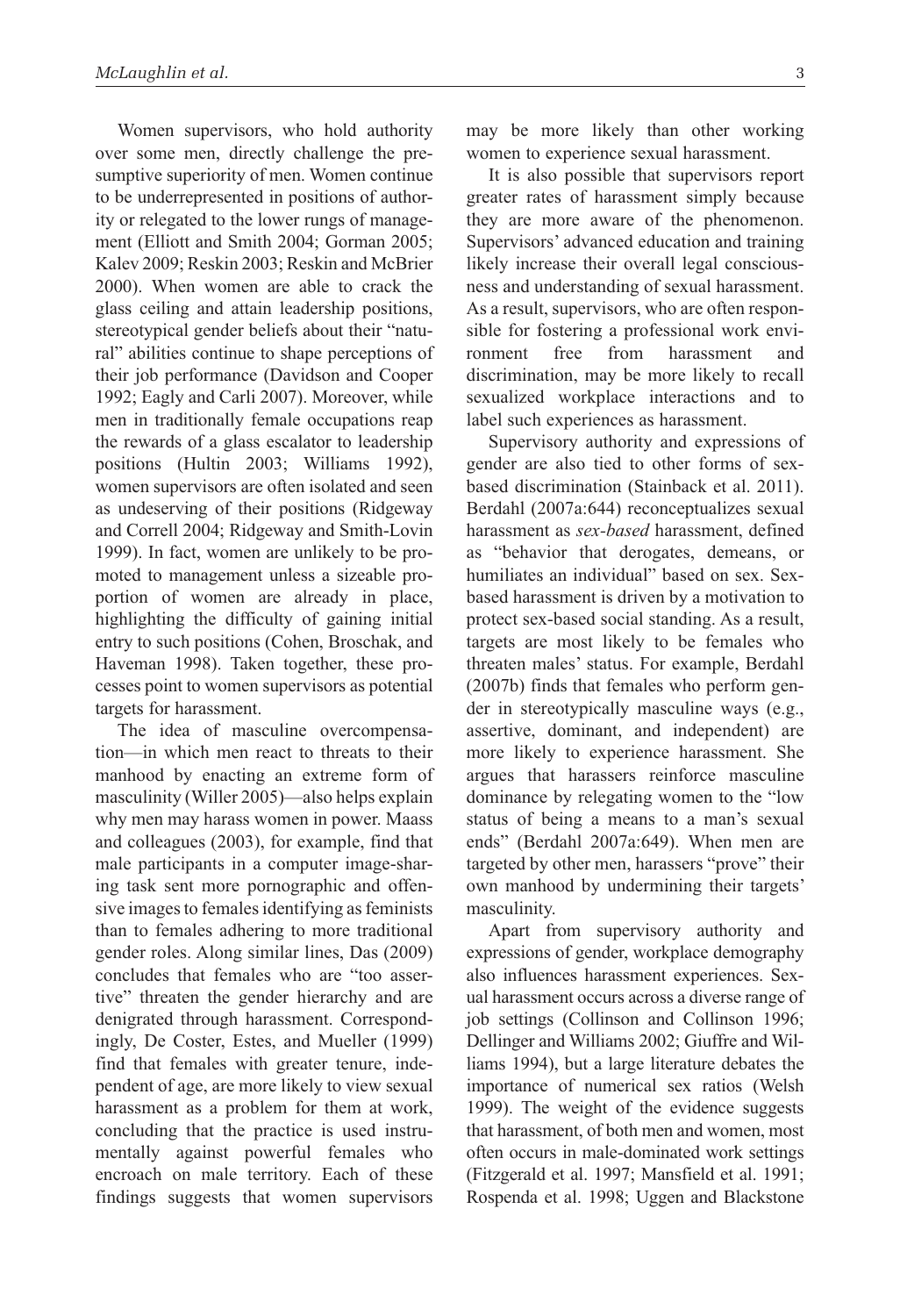Women supervisors, who hold authority over some men, directly challenge the presumptive superiority of men. Women continue to be underrepresented in positions of authority or relegated to the lower rungs of management (Elliott and Smith 2004; Gorman 2005; Kalev 2009; Reskin 2003; Reskin and McBrier 2000). When women are able to crack the glass ceiling and attain leadership positions, stereotypical gender beliefs about their "natural" abilities continue to shape perceptions of their job performance (Davidson and Cooper 1992; Eagly and Carli 2007). Moreover, while men in traditionally female occupations reap the rewards of a glass escalator to leadership positions (Hultin 2003; Williams 1992), women supervisors are often isolated and seen as undeserving of their positions (Ridgeway and Correll 2004; Ridgeway and Smith-Lovin 1999). In fact, women are unlikely to be promoted to management unless a sizeable proportion of women are already in place, highlighting the difficulty of gaining initial entry to such positions (Cohen, Broschak, and Haveman 1998). Taken together, these processes point to women supervisors as potential targets for harassment.

The idea of masculine overcompensation—in which men react to threats to their manhood by enacting an extreme form of masculinity (Willer 2005)—also helps explain why men may harass women in power. Maass and colleagues (2003), for example, find that male participants in a computer image-sharing task sent more pornographic and offensive images to females identifying as feminists than to females adhering to more traditional gender roles. Along similar lines, Das (2009) concludes that females who are "too assertive" threaten the gender hierarchy and are denigrated through harassment. Correspondingly, De Coster, Estes, and Mueller (1999) find that females with greater tenure, independent of age, are more likely to view sexual harassment as a problem for them at work, concluding that the practice is used instrumentally against powerful females who encroach on male territory. Each of these findings suggests that women supervisors may be more likely than other working women to experience sexual harassment.

It is also possible that supervisors report greater rates of harassment simply because they are more aware of the phenomenon. Supervisors' advanced education and training likely increase their overall legal consciousness and understanding of sexual harassment. As a result, supervisors, who are often responsible for fostering a professional work environment free from harassment and discrimination, may be more likely to recall sexualized workplace interactions and to label such experiences as harassment.

Supervisory authority and expressions of gender are also tied to other forms of sexbased discrimination (Stainback et al. 2011). Berdahl (2007a:644) reconceptualizes sexual harassment as *sex-based* harassment, defined as "behavior that derogates, demeans, or humiliates an individual" based on sex. Sexbased harassment is driven by a motivation to protect sex-based social standing. As a result, targets are most likely to be females who threaten males' status. For example, Berdahl (2007b) finds that females who perform gender in stereotypically masculine ways (e.g., assertive, dominant, and independent) are more likely to experience harassment. She argues that harassers reinforce masculine dominance by relegating women to the "low status of being a means to a man's sexual ends" (Berdahl 2007a:649). When men are targeted by other men, harassers "prove" their own manhood by undermining their targets' masculinity.

Apart from supervisory authority and expressions of gender, workplace demography also influences harassment experiences. Sexual harassment occurs across a diverse range of job settings (Collinson and Collinson 1996; Dellinger and Williams 2002; Giuffre and Williams 1994), but a large literature debates the importance of numerical sex ratios (Welsh 1999). The weight of the evidence suggests that harassment, of both men and women, most often occurs in male-dominated work settings (Fitzgerald et al. 1997; Mansfield et al. 1991; Rospenda et al. 1998; Uggen and Blackstone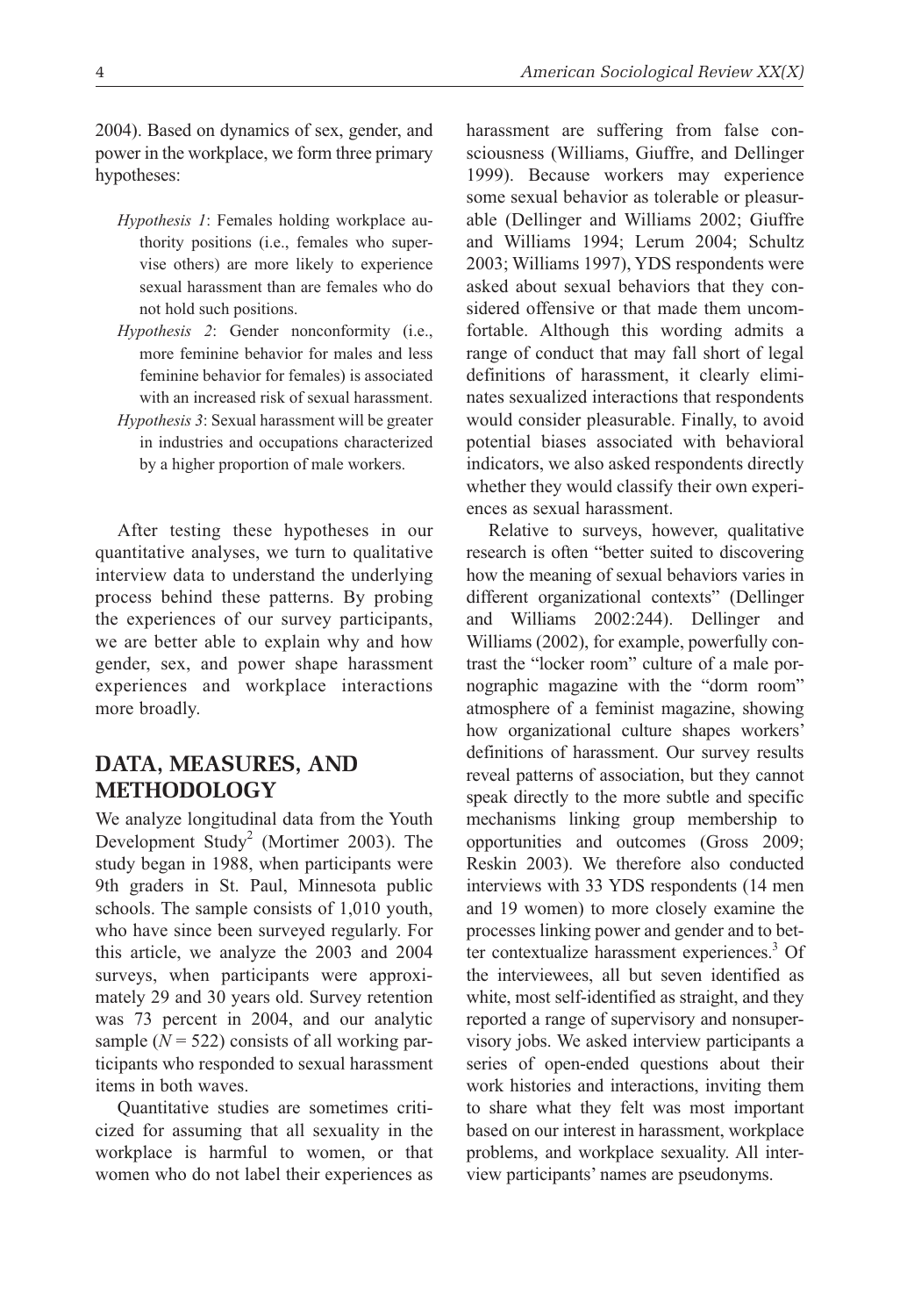2004). Based on dynamics of sex, gender, and power in the workplace, we form three primary hypotheses:

- *Hypothesis 1*: Females holding workplace authority positions (i.e., females who supervise others) are more likely to experience sexual harassment than are females who do not hold such positions.
- *Hypothesis 2*: Gender nonconformity (i.e., more feminine behavior for males and less feminine behavior for females) is associated with an increased risk of sexual harassment.
- *Hypothesis 3*: Sexual harassment will be greater in industries and occupations characterized by a higher proportion of male workers.

After testing these hypotheses in our quantitative analyses, we turn to qualitative interview data to understand the underlying process behind these patterns. By probing the experiences of our survey participants, we are better able to explain why and how gender, sex, and power shape harassment experiences and workplace interactions more broadly.

## **Data, Measures, And Methodology**

We analyze longitudinal data from the Youth Development Study<sup>2</sup> (Mortimer 2003). The study began in 1988, when participants were 9th graders in St. Paul, Minnesota public schools. The sample consists of 1,010 youth, who have since been surveyed regularly. For this article, we analyze the 2003 and 2004 surveys, when participants were approximately 29 and 30 years old. Survey retention was 73 percent in 2004, and our analytic sample  $(N = 522)$  consists of all working participants who responded to sexual harassment items in both waves.

Quantitative studies are sometimes criticized for assuming that all sexuality in the workplace is harmful to women, or that women who do not label their experiences as harassment are suffering from false consciousness (Williams, Giuffre, and Dellinger 1999). Because workers may experience some sexual behavior as tolerable or pleasurable (Dellinger and Williams 2002; Giuffre and Williams 1994; Lerum 2004; Schultz 2003; Williams 1997), YDS respondents were asked about sexual behaviors that they considered offensive or that made them uncomfortable. Although this wording admits a range of conduct that may fall short of legal definitions of harassment, it clearly eliminates sexualized interactions that respondents would consider pleasurable. Finally, to avoid potential biases associated with behavioral indicators, we also asked respondents directly whether they would classify their own experiences as sexual harassment.

Relative to surveys, however, qualitative research is often "better suited to discovering how the meaning of sexual behaviors varies in different organizational contexts" (Dellinger and Williams 2002:244). Dellinger and Williams (2002), for example, powerfully contrast the "locker room" culture of a male pornographic magazine with the "dorm room" atmosphere of a feminist magazine, showing how organizational culture shapes workers' definitions of harassment. Our survey results reveal patterns of association, but they cannot speak directly to the more subtle and specific mechanisms linking group membership to opportunities and outcomes (Gross 2009; Reskin 2003). We therefore also conducted interviews with 33 YDS respondents (14 men and 19 women) to more closely examine the processes linking power and gender and to better contextualize harassment experiences.<sup>3</sup> Of the interviewees, all but seven identified as white, most self-identified as straight, and they reported a range of supervisory and nonsupervisory jobs. We asked interview participants a series of open-ended questions about their work histories and interactions, inviting them to share what they felt was most important based on our interest in harassment, workplace problems, and workplace sexuality. All interview participants' names are pseudonyms.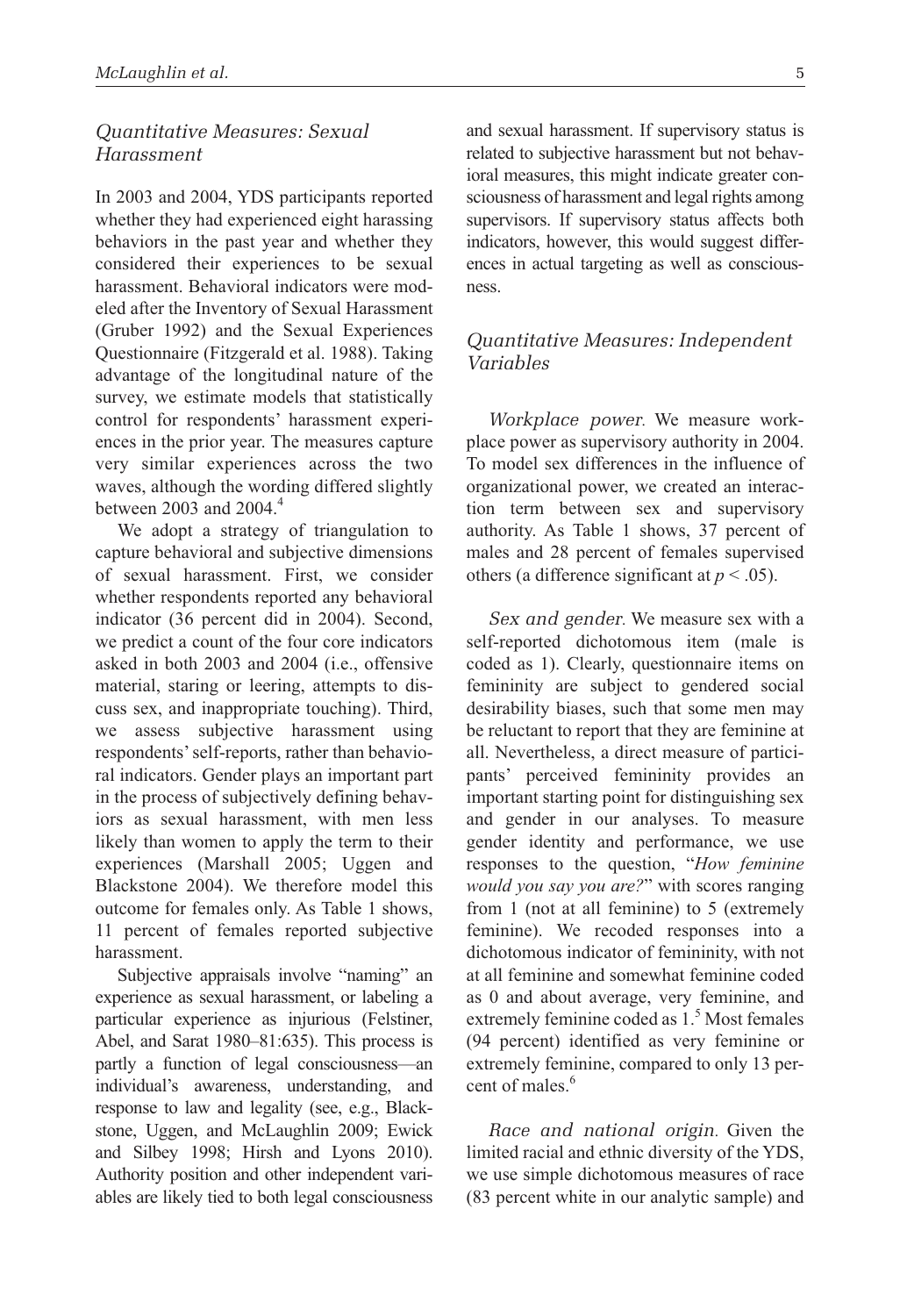## *Quantitative Measures: Sexual Harassment*

In 2003 and 2004, YDS participants reported whether they had experienced eight harassing behaviors in the past year and whether they considered their experiences to be sexual harassment. Behavioral indicators were modeled after the Inventory of Sexual Harassment (Gruber 1992) and the Sexual Experiences Questionnaire (Fitzgerald et al. 1988). Taking advantage of the longitudinal nature of the survey, we estimate models that statistically control for respondents' harassment experiences in the prior year. The measures capture very similar experiences across the two waves, although the wording differed slightly between 2003 and  $2004<sup>4</sup>$ 

We adopt a strategy of triangulation to capture behavioral and subjective dimensions of sexual harassment. First, we consider whether respondents reported any behavioral indicator (36 percent did in 2004). Second, we predict a count of the four core indicators asked in both 2003 and 2004 (i.e., offensive material, staring or leering, attempts to discuss sex, and inappropriate touching). Third, we assess subjective harassment using respondents' self-reports, rather than behavioral indicators. Gender plays an important part in the process of subjectively defining behaviors as sexual harassment, with men less likely than women to apply the term to their experiences (Marshall 2005; Uggen and Blackstone 2004). We therefore model this outcome for females only. As Table 1 shows, 11 percent of females reported subjective harassment.

Subjective appraisals involve "naming" an experience as sexual harassment, or labeling a particular experience as injurious (Felstiner, Abel, and Sarat 1980–81:635). This process is partly a function of legal consciousness—an individual's awareness, understanding, and response to law and legality (see, e.g., Blackstone, Uggen, and McLaughlin 2009; Ewick and Silbey 1998; Hirsh and Lyons 2010). Authority position and other independent variables are likely tied to both legal consciousness and sexual harassment. If supervisory status is related to subjective harassment but not behavioral measures, this might indicate greater consciousness of harassment and legal rights among supervisors. If supervisory status affects both indicators, however, this would suggest differences in actual targeting as well as consciousness.

## *Quantitative Measures: Independent Variables*

*Workplace power*. We measure workplace power as supervisory authority in 2004. To model sex differences in the influence of organizational power, we created an interaction term between sex and supervisory authority. As Table 1 shows, 37 percent of males and 28 percent of females supervised others (a difference significant at  $p < .05$ ).

*Sex and gender*. We measure sex with a self-reported dichotomous item (male is coded as 1). Clearly, questionnaire items on femininity are subject to gendered social desirability biases, such that some men may be reluctant to report that they are feminine at all. Nevertheless, a direct measure of participants' perceived femininity provides an important starting point for distinguishing sex and gender in our analyses. To measure gender identity and performance, we use responses to the question, "*How feminine would you say you are?*" with scores ranging from 1 (not at all feminine) to 5 (extremely feminine). We recoded responses into a dichotomous indicator of femininity, with not at all feminine and somewhat feminine coded as 0 and about average, very feminine, and extremely feminine coded as 1.<sup>5</sup> Most females (94 percent) identified as very feminine or extremely feminine, compared to only 13 percent of males.<sup>6</sup>

*Race and national origin*. Given the limited racial and ethnic diversity of the YDS, we use simple dichotomous measures of race (83 percent white in our analytic sample) and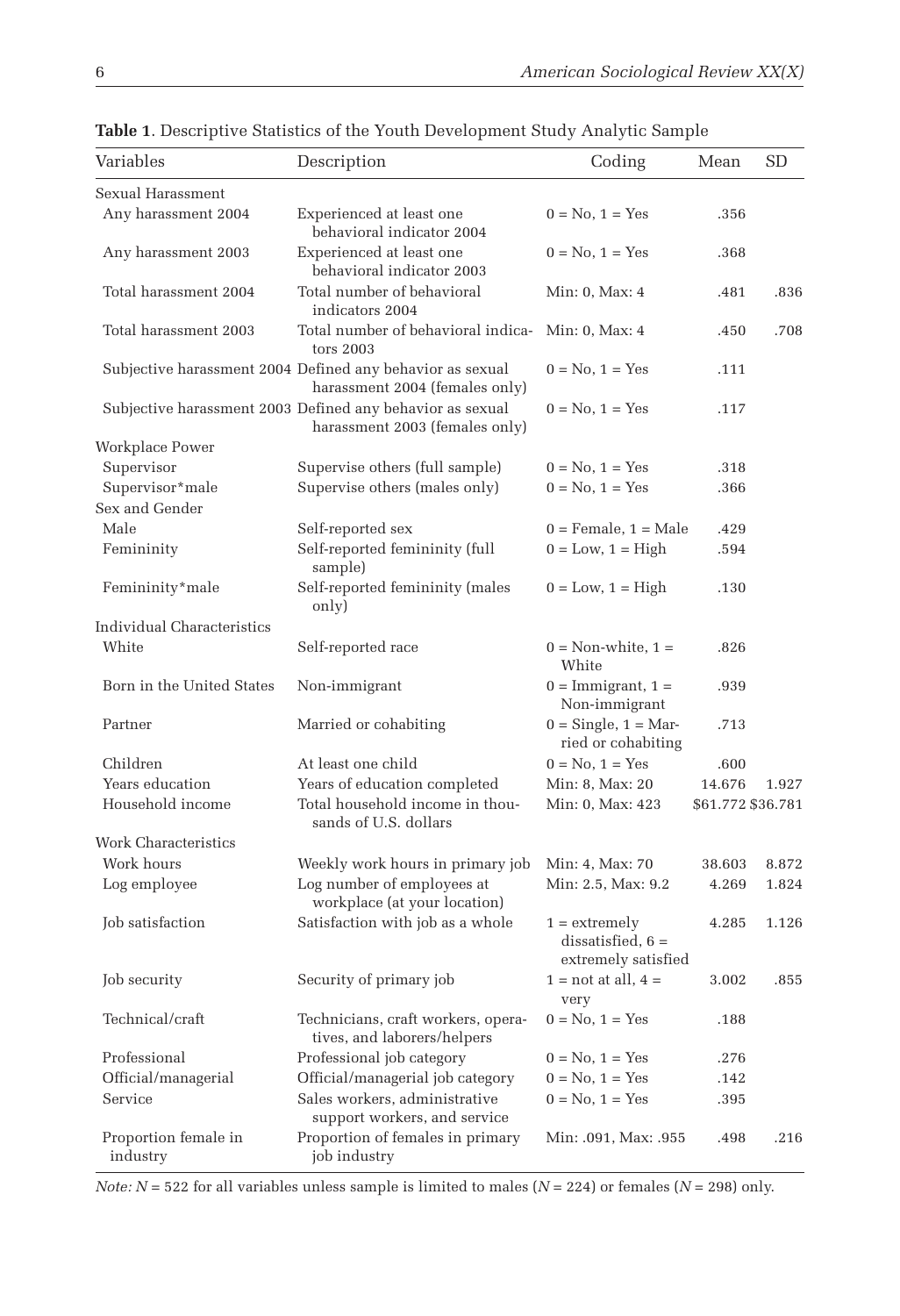| Variables                        | Description                                                                                 | Coding                                                        | Mean              | SD    |
|----------------------------------|---------------------------------------------------------------------------------------------|---------------------------------------------------------------|-------------------|-------|
| Sexual Harassment                |                                                                                             |                                                               |                   |       |
| Any harassment 2004              | Experienced at least one<br>behavioral indicator 2004                                       | $0 = No, 1 = Yes$                                             | .356              |       |
| Any harassment 2003              | Experienced at least one<br>behavioral indicator 2003                                       | $0 = No, 1 = Yes$                                             | .368              |       |
| Total harassment 2004            | Total number of behavioral<br>indicators 2004                                               | Min: 0, Max: 4                                                | .481              | .836  |
| Total harassment 2003            | Total number of behavioral indica-<br>tors 2003                                             | Min: 0, Max: 4                                                | .450              | .708  |
|                                  | Subjective harassment 2004 Defined any behavior as sexual<br>harassment 2004 (females only) | $0 = No, 1 = Yes$                                             | .111              |       |
|                                  | Subjective harassment 2003 Defined any behavior as sexual<br>harassment 2003 (females only) | $0 = No, 1 = Yes$                                             | .117              |       |
| Workplace Power                  |                                                                                             |                                                               |                   |       |
| Supervisor                       | Supervise others (full sample)                                                              | $0 = No, 1 = Yes$                                             | .318              |       |
| Supervisor*male                  | Supervise others (males only)                                                               | $0 = No, 1 = Yes$                                             | .366              |       |
| Sex and Gender                   |                                                                                             |                                                               |                   |       |
| Male                             | Self-reported sex                                                                           | $0 =$ Female, $1 =$ Male                                      | .429              |       |
| Femininity                       | Self-reported femininity (full<br>sample)                                                   | $0 = Low, 1 = High$                                           | .594              |       |
| Femininity*male                  | Self-reported femininity (males<br>only)                                                    | $0 = Low, 1 = High$                                           | .130              |       |
| Individual Characteristics       |                                                                                             |                                                               |                   |       |
| White                            | Self-reported race                                                                          | $0 = \text{Non-white}, 1 =$<br>White                          | .826              |       |
| Born in the United States        | Non-immigrant                                                                               | $0 =$ Immigrant, $1 =$<br>Non-immigrant                       | .939              |       |
| Partner                          | Married or cohabiting                                                                       | $0 =$ Single, $1 =$ Mar-<br>ried or cohabiting                | .713              |       |
| Children                         | At least one child                                                                          | $0 = No, 1 = Yes$                                             | .600              |       |
| Years education                  | Years of education completed                                                                | Min: 8, Max: 20                                               | 14.676            | 1.927 |
| Household income                 | Total household income in thou-<br>sands of U.S. dollars                                    | Min: 0, Max: 423                                              | \$61.772 \$36.781 |       |
| <b>Work Characteristics</b>      |                                                                                             |                                                               |                   |       |
| Work hours                       | Weekly work hours in primary job                                                            | Min: 4, Max: 70                                               | 38.603            | 8.872 |
| Log employee                     | Log number of employees at<br>workplace (at your location)                                  | Min: 2.5, Max: 9.2                                            | 4.269             | 1.824 |
| Job satisfaction                 | Satisfaction with job as a whole                                                            | $1 =$ extremely<br>dissatisfied, $6 =$<br>extremely satisfied | 4.285             | 1.126 |
| Job security                     | Security of primary job                                                                     | $1 = \text{not at all}, 4 =$<br>very                          | 3.002             | .855  |
| Technical/craft                  | Technicians, craft workers, opera-<br>tives, and laborers/helpers                           | $0 = No, 1 = Yes$                                             | .188              |       |
| Professional                     | Professional job category                                                                   | $0 = No, 1 = Yes$                                             | .276              |       |
| Official/managerial              | Official/managerial job category                                                            | $0 = No, 1 = Yes$                                             | .142              |       |
| Service                          | Sales workers, administrative<br>support workers, and service                               | $0 = No, 1 = Yes$                                             | .395              |       |
| Proportion female in<br>industry | Proportion of females in primary<br>job industry                                            | Min: .091, Max: .955                                          | .498              | .216  |

**Table 1**. Descriptive Statistics of the Youth Development Study Analytic Sample

 $Note: N = 522$  for all variables unless sample is limited to males ( $N = 224$ ) or females ( $N = 298$ ) only.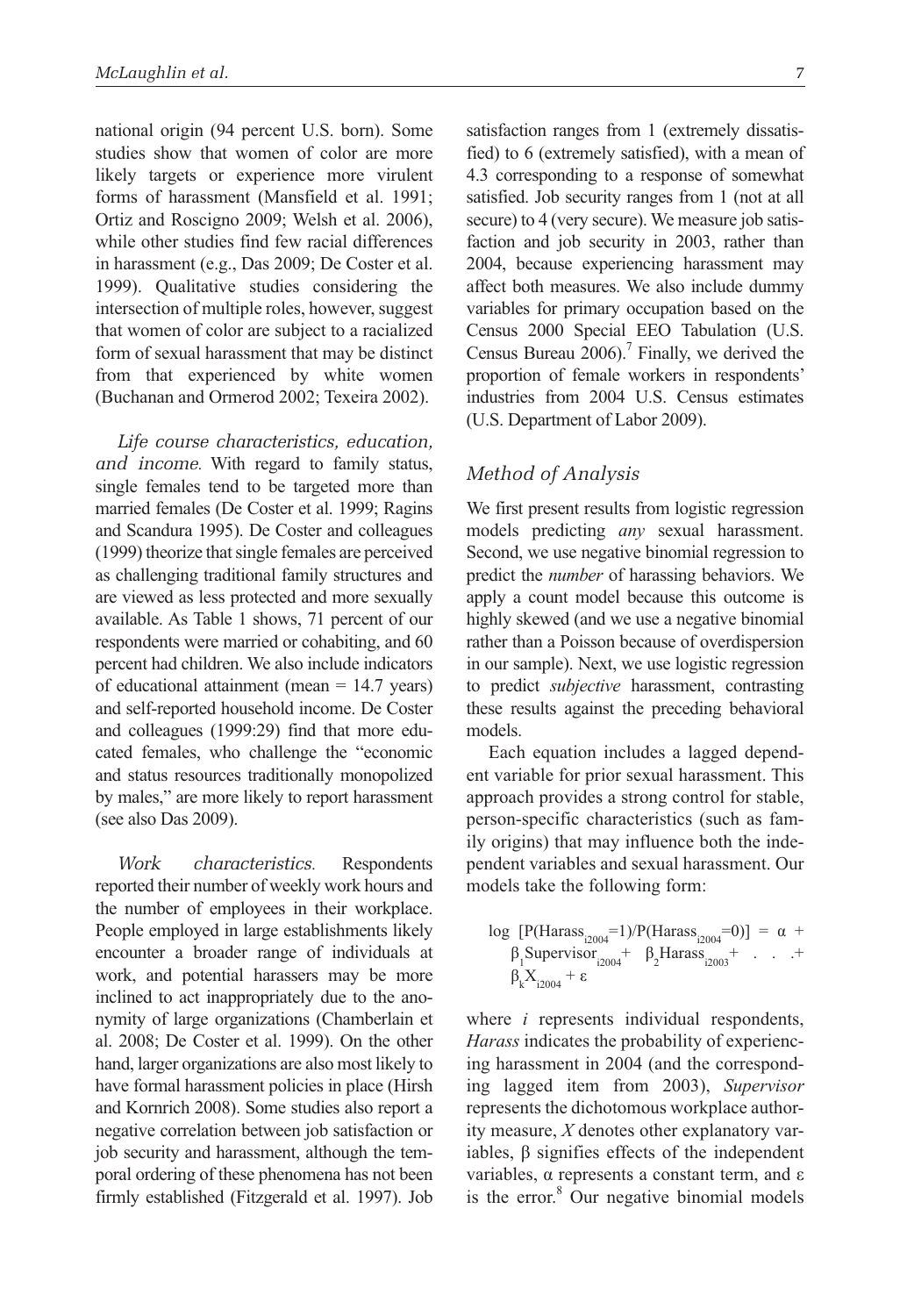national origin (94 percent U.S. born). Some studies show that women of color are more likely targets or experience more virulent forms of harassment (Mansfield et al. 1991; Ortiz and Roscigno 2009; Welsh et al. 2006), while other studies find few racial differences in harassment (e.g., Das 2009; De Coster et al. 1999). Qualitative studies considering the intersection of multiple roles, however, suggest that women of color are subject to a racialized form of sexual harassment that may be distinct from that experienced by white women (Buchanan and Ormerod 2002; Texeira 2002).

*Life course characteristics, education, and income*. With regard to family status, single females tend to be targeted more than married females (De Coster et al. 1999; Ragins and Scandura 1995). De Coster and colleagues (1999) theorize that single females are perceived as challenging traditional family structures and are viewed as less protected and more sexually available. As Table 1 shows, 71 percent of our respondents were married or cohabiting, and 60 percent had children. We also include indicators of educational attainment (mean = 14.7 years) and self-reported household income. De Coster and colleagues (1999:29) find that more educated females, who challenge the "economic and status resources traditionally monopolized by males," are more likely to report harassment (see also Das 2009).

*Work characteristics*. Respondents reported their number of weekly work hours and the number of employees in their workplace. People employed in large establishments likely encounter a broader range of individuals at work, and potential harassers may be more inclined to act inappropriately due to the anonymity of large organizations (Chamberlain et al. 2008; De Coster et al. 1999). On the other hand, larger organizations are also most likely to have formal harassment policies in place (Hirsh and Kornrich 2008). Some studies also report a negative correlation between job satisfaction or job security and harassment, although the temporal ordering of these phenomena has not been firmly established (Fitzgerald et al. 1997). Job satisfaction ranges from 1 (extremely dissatisfied) to 6 (extremely satisfied), with a mean of 4.3 corresponding to a response of somewhat satisfied. Job security ranges from 1 (not at all secure) to 4 (very secure). We measure job satisfaction and job security in 2003, rather than 2004, because experiencing harassment may affect both measures. We also include dummy variables for primary occupation based on the Census 2000 Special EEO Tabulation (U.S. Census Bureau  $2006$ .<sup>7</sup> Finally, we derived the proportion of female workers in respondents' industries from 2004 U.S. Census estimates (U.S. Department of Labor 2009).

#### *Method of Analysis*

We first present results from logistic regression models predicting *any* sexual harassment. Second, we use negative binomial regression to predict the *number* of harassing behaviors. We apply a count model because this outcome is highly skewed (and we use a negative binomial rather than a Poisson because of overdispersion in our sample). Next, we use logistic regression to predict *subjective* harassment, contrasting these results against the preceding behavioral models.

Each equation includes a lagged dependent variable for prior sexual harassment. This approach provides a strong control for stable, person-specific characteristics (such as family origins) that may influence both the independent variables and sexual harassment. Our models take the following form:

$$
log [P(Haras_{i2004} = 1)/P(Haras_{i2004} = 0)] = \alpha + \beta_1
$$
Supervisor<sub>i2004</sub><sup>+</sup>  $\beta_2$  Harass<sub>i2003</sub><sup>+</sup> . . . +  $\beta_k$ X<sub>i2004</sub> +  $\epsilon$ 

where *i* represents individual respondents, *Harass* indicates the probability of experiencing harassment in 2004 (and the corresponding lagged item from 2003), *Supervisor* represents the dichotomous workplace authority measure, *X* denotes other explanatory variables, β signifies effects of the independent variables, α represents a constant term, and ε is the error.<sup>8</sup> Our negative binomial models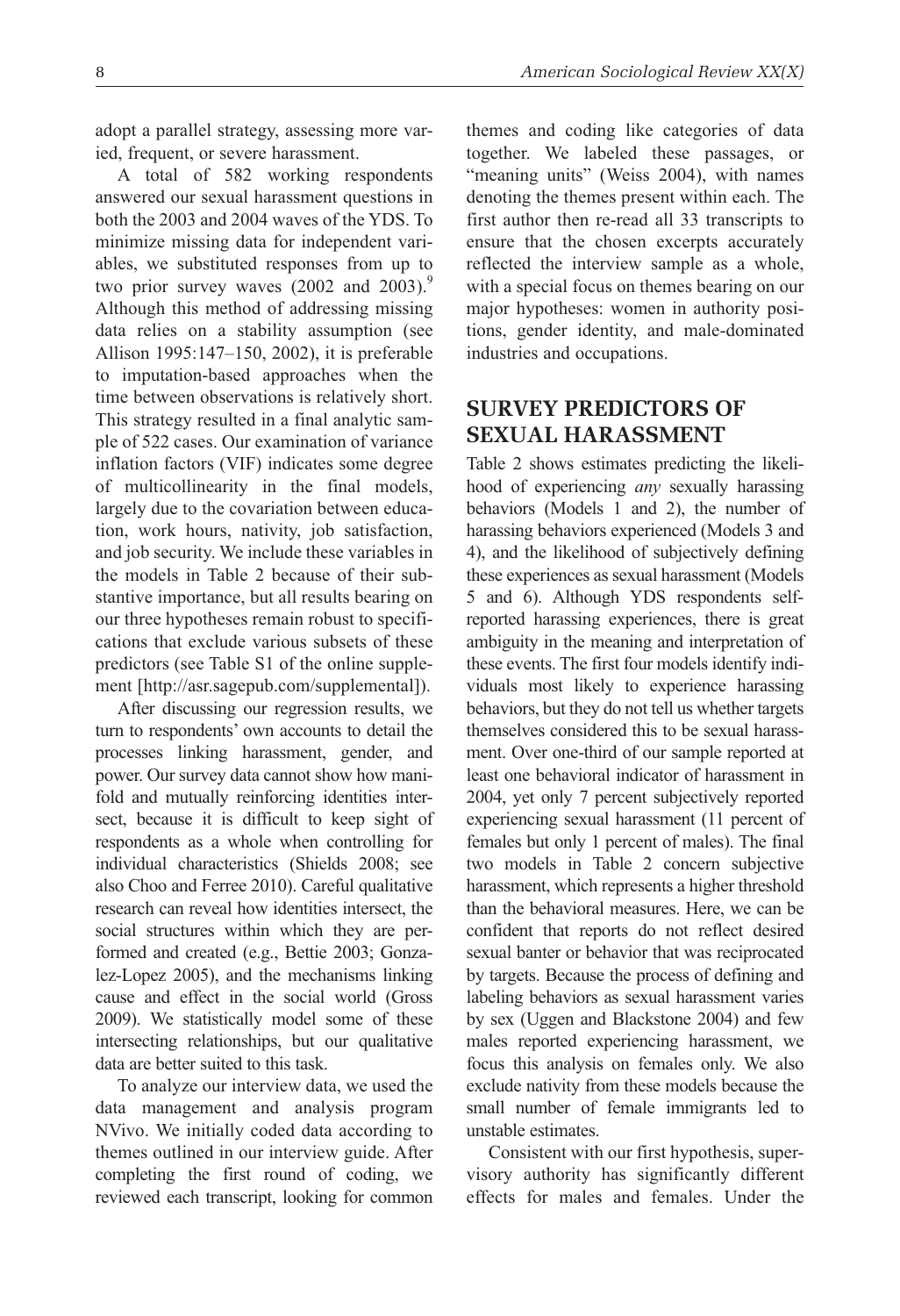adopt a parallel strategy, assessing more varied, frequent, or severe harassment.

A total of 582 working respondents answered our sexual harassment questions in both the 2003 and 2004 waves of the YDS. To minimize missing data for independent variables, we substituted responses from up to two prior survey waves  $(2002 \text{ and } 2003)^9$ Although this method of addressing missing data relies on a stability assumption (see Allison 1995:147–150, 2002), it is preferable to imputation-based approaches when the time between observations is relatively short. This strategy resulted in a final analytic sample of 522 cases. Our examination of variance inflation factors (VIF) indicates some degree of multicollinearity in the final models, largely due to the covariation between education, work hours, nativity, job satisfaction, and job security. We include these variables in the models in Table 2 because of their substantive importance, but all results bearing on our three hypotheses remain robust to specifications that exclude various subsets of these predictors (see Table S1 of the online supplement [http://asr.sagepub.com/supplemental]).

After discussing our regression results, we turn to respondents' own accounts to detail the processes linking harassment, gender, and power. Our survey data cannot show how manifold and mutually reinforcing identities intersect, because it is difficult to keep sight of respondents as a whole when controlling for individual characteristics (Shields 2008; see also Choo and Ferree 2010). Careful qualitative research can reveal how identities intersect, the social structures within which they are performed and created (e.g., Bettie 2003; Gonzalez-Lopez 2005), and the mechanisms linking cause and effect in the social world (Gross 2009). We statistically model some of these intersecting relationships, but our qualitative data are better suited to this task.

To analyze our interview data, we used the data management and analysis program NVivo. We initially coded data according to themes outlined in our interview guide. After completing the first round of coding, we reviewed each transcript, looking for common

themes and coding like categories of data together. We labeled these passages, or "meaning units" (Weiss 2004), with names denoting the themes present within each. The first author then re-read all 33 transcripts to ensure that the chosen excerpts accurately reflected the interview sample as a whole, with a special focus on themes bearing on our major hypotheses: women in authority positions, gender identity, and male-dominated industries and occupations.

# **Survey Predictors Of Sexual Harassment**

Table 2 shows estimates predicting the likelihood of experiencing *any* sexually harassing behaviors (Models 1 and 2), the number of harassing behaviors experienced (Models 3 and 4), and the likelihood of subjectively defining these experiences as sexual harassment (Models 5 and 6). Although YDS respondents selfreported harassing experiences, there is great ambiguity in the meaning and interpretation of these events. The first four models identify individuals most likely to experience harassing behaviors, but they do not tell us whether targets themselves considered this to be sexual harassment. Over one-third of our sample reported at least one behavioral indicator of harassment in 2004, yet only 7 percent subjectively reported experiencing sexual harassment (11 percent of females but only 1 percent of males). The final two models in Table 2 concern subjective harassment, which represents a higher threshold than the behavioral measures. Here, we can be confident that reports do not reflect desired sexual banter or behavior that was reciprocated by targets. Because the process of defining and labeling behaviors as sexual harassment varies by sex (Uggen and Blackstone 2004) and few males reported experiencing harassment, we focus this analysis on females only. We also exclude nativity from these models because the small number of female immigrants led to unstable estimates.

Consistent with our first hypothesis, supervisory authority has significantly different effects for males and females. Under the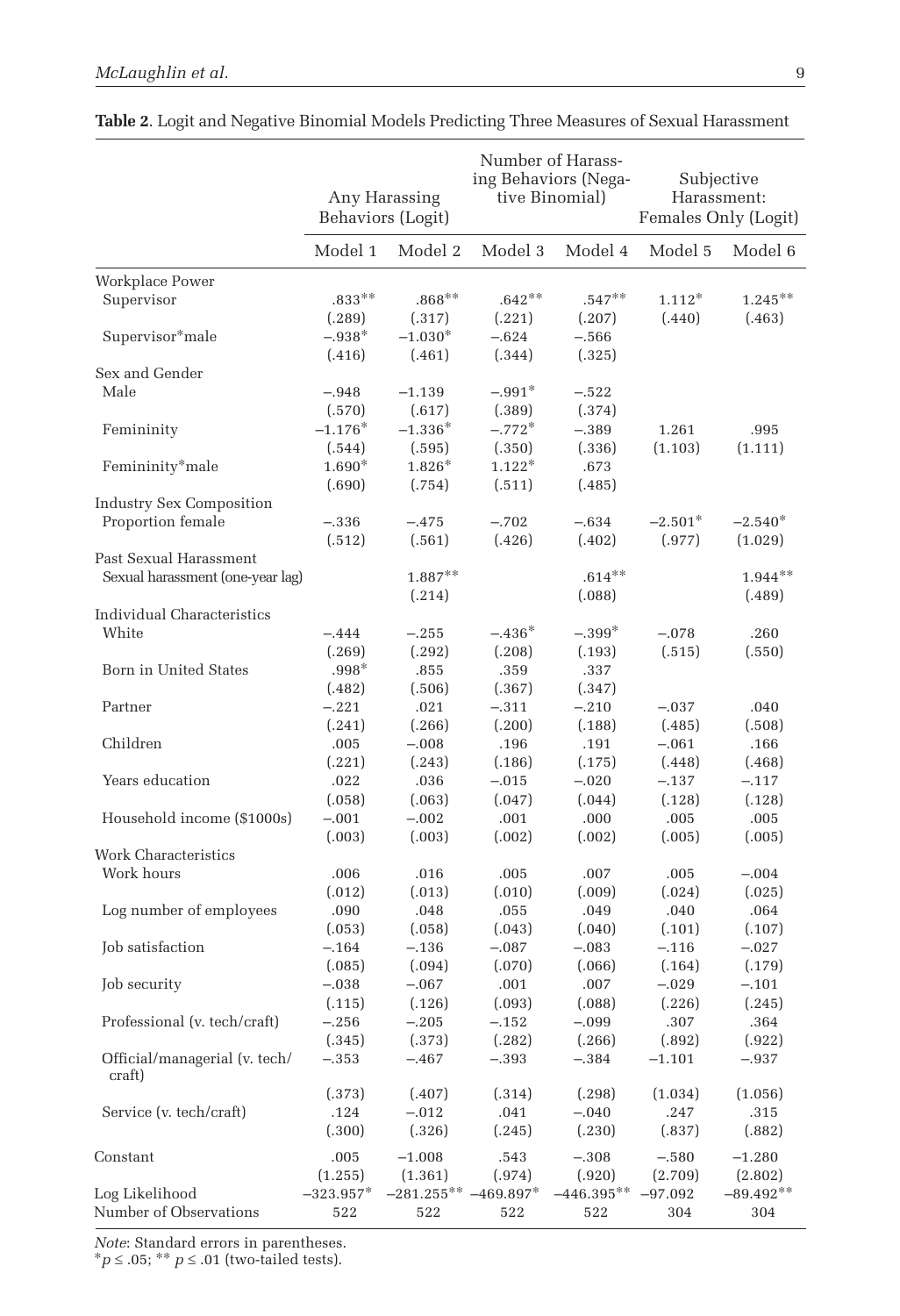|                                         | Any Harassing<br>Behaviors (Logit) |                   | Number of Harass-<br>ing Behaviors (Nega-<br>tive Binomial) |                   | Subjective<br>Harassment:<br>Females Only (Logit) |                |
|-----------------------------------------|------------------------------------|-------------------|-------------------------------------------------------------|-------------------|---------------------------------------------------|----------------|
|                                         | Model 1                            | Model 2           | Model 3                                                     | Model 4           | Model 5                                           | Model 6        |
| Workplace Power                         |                                    |                   |                                                             |                   |                                                   |                |
| Supervisor                              | $.833**$                           | $.868**$          | $.642**$                                                    | $.547**$          | $1.112*$                                          | $1.245**$      |
|                                         | (.289)                             | (.317)            | (.221)                                                      | (.207)            | (.440)                                            | (.463)         |
| Supervisor*male                         | $-.938*$                           | $-1.030*$         | $-.624$                                                     | $-.566$           |                                                   |                |
|                                         | (.416)                             | (.461)            | (.344)                                                      | (.325)            |                                                   |                |
| Sex and Gender                          |                                    |                   |                                                             |                   |                                                   |                |
| Male                                    | $-.948$                            | $-1.139$          | $-.991*$                                                    | $-.522$           |                                                   |                |
|                                         | (.570)                             | (.617)            | (.389)                                                      | (.374)            |                                                   |                |
| Femininity                              | $-1.176*$                          | $-1.336*$         | $-.772*$                                                    | $-.389$           | 1.261                                             | .995           |
|                                         | (.544)                             | (.595)            | (.350)                                                      | (.336)            | (1.103)                                           | (1.111)        |
| Femininity*male                         | 1.690*                             | 1.826*            | $1.122*$                                                    | .673              |                                                   |                |
|                                         | (.690)                             | (.754)            | (.511)                                                      | (.485)            |                                                   |                |
| Industry Sex Composition                |                                    |                   |                                                             |                   |                                                   |                |
| Proportion female                       | $-.336$                            | $-.475$           | $-.702$                                                     | $-.634$           | $-2.501*$                                         | $-2.540*$      |
|                                         | (.512)                             | (.561)            | (.426)                                                      | (.402)            | (.977)                                            | (1.029)        |
| Past Sexual Harassment                  |                                    |                   |                                                             |                   |                                                   |                |
| Sexual harassment (one-year lag)        |                                    | $1.887**$         |                                                             | $.614**$          |                                                   | $1.944**$      |
|                                         |                                    | (.214)            |                                                             | (.088)            |                                                   | (.489)         |
| Individual Characteristics              |                                    |                   |                                                             |                   |                                                   |                |
| White                                   | $-.444$                            | $-.255$           | $-.436*$                                                    | $-.399*$          | $-.078$                                           | .260           |
|                                         | (.269)                             | (.292)            | (.208)                                                      | (.193)            | (.515)                                            | (.550)         |
| Born in United States                   | $.998*$                            | .855              | .359                                                        | .337              |                                                   |                |
|                                         | (.482)                             | (.506)            | (.367)                                                      | (.347)            |                                                   |                |
| Partner                                 | $-.221$                            | .021              | $-.311$                                                     | $-.210$           | $-.037$                                           | .040           |
|                                         | (.241)                             | (.266)            | (.200)                                                      | (.188)            | (.485)                                            | (.508)         |
| Children                                | .005                               | $-.008$           | .196                                                        | .191              | $-.061$                                           | .166           |
|                                         | (.221)                             | (.243)            | (.186)                                                      | (.175)            | (.448)                                            | (.468)         |
| Years education                         | .022                               | .036              | $-.015$                                                     | $-.020$           | $-.137$                                           | $-.117$        |
|                                         | (.058)                             | (.063)            | (.047)                                                      | (.044)            | (.128)                                            | (.128)         |
| Household income (\$1000s)              | $-.001$                            | $-.002$           | .001                                                        | .000              | .005                                              | .005           |
|                                         | (.003)                             | (.003)            | (.002)                                                      | (.002)            | (.005)                                            | (.005)         |
| Work Characteristics                    |                                    |                   |                                                             |                   |                                                   |                |
| Work hours                              | .006                               | .016              | .005                                                        | .007              | .005                                              | $-.004$        |
|                                         | (.012)                             | (.013)            | (.010)                                                      | (.009)            | (.024)                                            | (.025)         |
| Log number of employees                 | .090                               | .048              | .055                                                        | .049              | .040                                              | .064           |
|                                         | (.053)                             | (.058)            | (.043)                                                      | (.040)            | (.101)                                            | (.107)         |
| Job satisfaction                        | $-.164$                            | $-.136$           | $-.087$                                                     | $-.083$           | $-.116$                                           | $-.027$        |
|                                         | (.085)                             | (.094)            | (.070)                                                      | (.066)            | (.164)                                            | (.179)         |
| Job security                            | $-.038$                            | $-.067$           | .001                                                        | .007              | $-.029$                                           | $-.101$        |
|                                         | (.115)                             | (.126)            | (.093)                                                      | (.088)            | (.226)                                            | (.245)         |
| Professional (v. tech/craft)            | $-.256$                            | $-.205$           | $-.152$                                                     | $-.099$           | .307                                              | .364           |
|                                         | (.345)                             | (.373)            | (.282)                                                      | (.266)            | (.892)                                            | (.922)         |
| Official/managerial (v. tech/<br>craft) | $-.353$                            | $-.467$           | $-.393$                                                     | $-.384$           | $-1.101$                                          | $-.937$        |
|                                         | (.373)                             | (.407)            | (.314)                                                      | (.298)            | (1.034)                                           | (1.056)        |
| Service (v. tech/craft)                 | .124<br>(.300)                     | $-.012$<br>(.326) | .041<br>(.245)                                              | $-.040$<br>(.230) | .247<br>(.837)                                    | .315<br>(.882) |
| Constant                                | .005                               | $-1.008$          | .543                                                        | $-.308$           | $-.580$                                           | $-1.280$       |
|                                         | (1.255)                            | (1.361)           | (.974)                                                      | (.920)            | (2.709)                                           | (2.802)        |
| Log Likelihood                          | $-323.957*$                        | $-281.255***$     | $-469.897*$                                                 | $-446.395**$      | $-97.092$                                         | $-89.492**$    |
| Number of Observations                  | 522                                | 522               | 522                                                         | 522               | 304                                               | 304            |
|                                         |                                    |                   |                                                             |                   |                                                   |                |

**Table 2**. Logit and Negative Binomial Models Predicting Three Measures of Sexual Harassment

*Note*: Standard errors in parentheses.  ${}^*p$  ≤ .05; \*\* *p* ≤ .01 (two-tailed tests).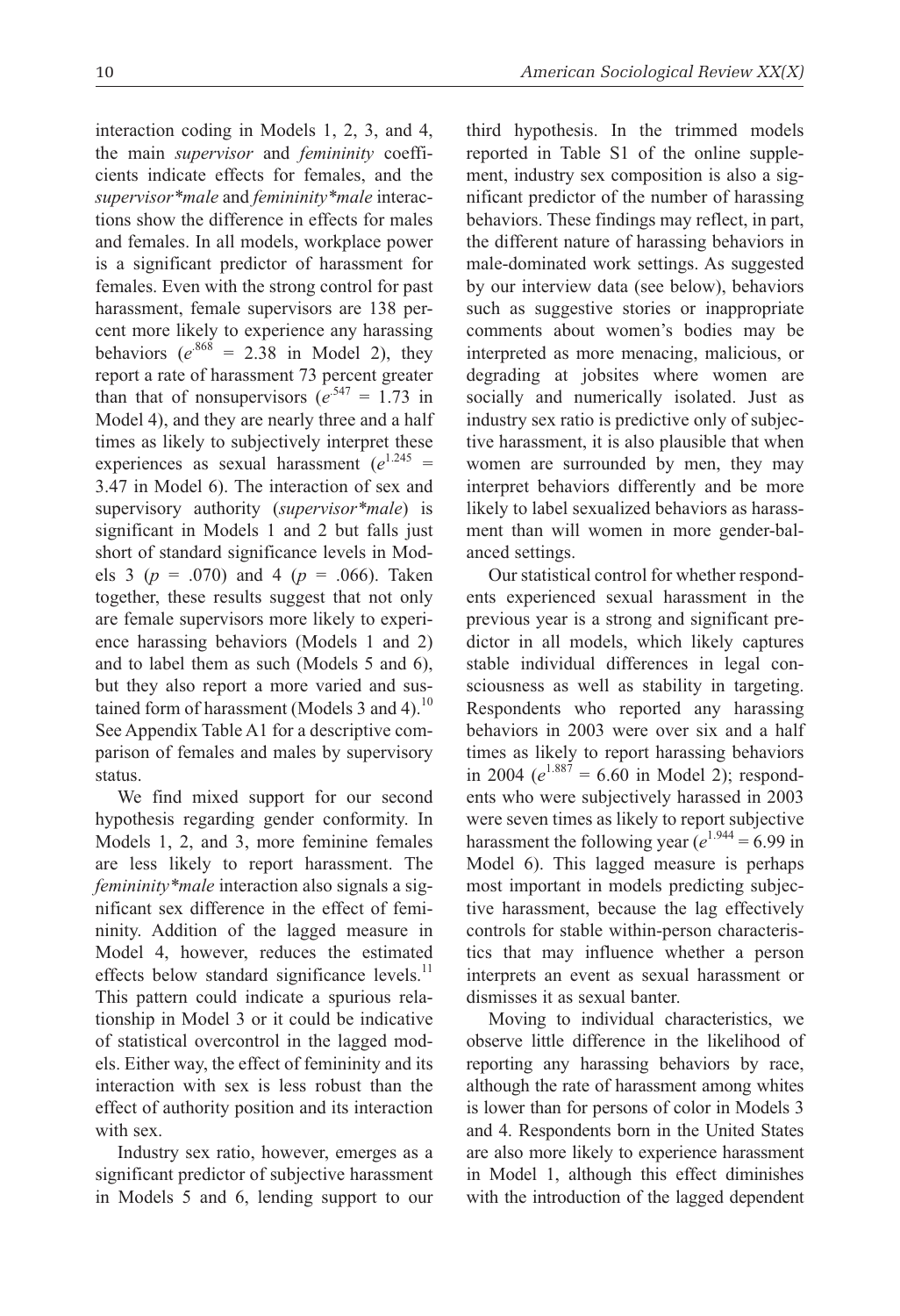interaction coding in Models 1, 2, 3, and 4, the main *supervisor* and *femininity* coefficients indicate effects for females, and the *supervisor\*male* and *femininity\*male* interactions show the difference in effects for males and females. In all models, workplace power is a significant predictor of harassment for females. Even with the strong control for past harassment, female supervisors are 138 percent more likely to experience any harassing behaviors ( $e^{.868} = 2.38$  in Model 2), they report a rate of harassment 73 percent greater than that of nonsupervisors  $(e^{.547} = 1.73)$  in Model 4), and they are nearly three and a half times as likely to subjectively interpret these experiences as sexual harassment  $(e^{1.245})$ 3.47 in Model 6). The interaction of sex and supervisory authority (*supervisor\*male*) is significant in Models 1 and 2 but falls just short of standard significance levels in Models 3 (*p* = .070) and 4 (*p* = .066). Taken together, these results suggest that not only are female supervisors more likely to experience harassing behaviors (Models 1 and 2) and to label them as such (Models 5 and 6), but they also report a more varied and sustained form of harassment (Models 3 and 4). $^{10}$ See Appendix Table A1 for a descriptive comparison of females and males by supervisory status.

We find mixed support for our second hypothesis regarding gender conformity. In Models 1, 2, and 3, more feminine females are less likely to report harassment. The *femininity\*male* interaction also signals a significant sex difference in the effect of femininity. Addition of the lagged measure in Model 4, however, reduces the estimated effects below standard significance levels. $<sup>11</sup>$ </sup> This pattern could indicate a spurious relationship in Model 3 or it could be indicative of statistical overcontrol in the lagged models. Either way, the effect of femininity and its interaction with sex is less robust than the effect of authority position and its interaction with sex.

Industry sex ratio, however, emerges as a significant predictor of subjective harassment in Models 5 and 6, lending support to our

third hypothesis. In the trimmed models reported in Table S1 of the online supplement, industry sex composition is also a significant predictor of the number of harassing behaviors. These findings may reflect, in part, the different nature of harassing behaviors in male-dominated work settings. As suggested by our interview data (see below), behaviors such as suggestive stories or inappropriate comments about women's bodies may be interpreted as more menacing, malicious, or degrading at jobsites where women are socially and numerically isolated. Just as industry sex ratio is predictive only of subjective harassment, it is also plausible that when women are surrounded by men, they may interpret behaviors differently and be more likely to label sexualized behaviors as harassment than will women in more gender-balanced settings.

Our statistical control for whether respondents experienced sexual harassment in the previous year is a strong and significant predictor in all models, which likely captures stable individual differences in legal consciousness as well as stability in targeting. Respondents who reported any harassing behaviors in 2003 were over six and a half times as likely to report harassing behaviors in 2004 ( $e^{1.887} = 6.60$  in Model 2); respondents who were subjectively harassed in 2003 were seven times as likely to report subjective harassment the following year  $(e^{1.944} = 6.99)$  in Model 6). This lagged measure is perhaps most important in models predicting subjective harassment, because the lag effectively controls for stable within-person characteristics that may influence whether a person interprets an event as sexual harassment or dismisses it as sexual banter.

Moving to individual characteristics, we observe little difference in the likelihood of reporting any harassing behaviors by race, although the rate of harassment among whites is lower than for persons of color in Models 3 and 4. Respondents born in the United States are also more likely to experience harassment in Model 1, although this effect diminishes with the introduction of the lagged dependent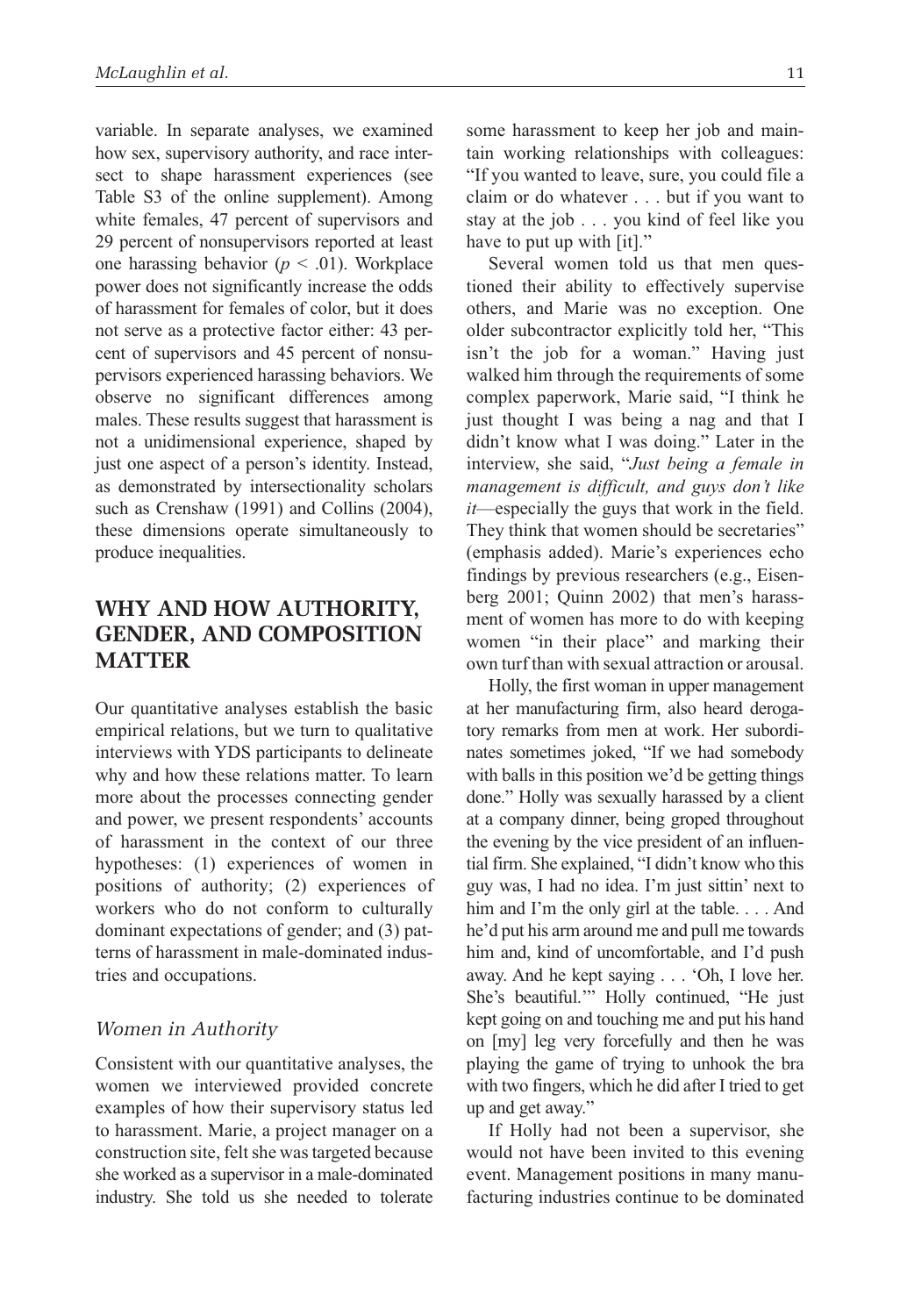variable. In separate analyses, we examined how sex, supervisory authority, and race intersect to shape harassment experiences (see Table S3 of the online supplement). Among white females, 47 percent of supervisors and 29 percent of nonsupervisors reported at least one harassing behavior ( $p < .01$ ). Workplace power does not significantly increase the odds of harassment for females of color, but it does not serve as a protective factor either: 43 percent of supervisors and 45 percent of nonsupervisors experienced harassing behaviors. We observe no significant differences among males. These results suggest that harassment is not a unidimensional experience, shaped by just one aspect of a person's identity. Instead, as demonstrated by intersectionality scholars such as Crenshaw (1991) and Collins (2004), these dimensions operate simultaneously to produce inequalities.

# **Why And How Authority, Gender, And Composition Matter**

Our quantitative analyses establish the basic empirical relations, but we turn to qualitative interviews with YDS participants to delineate why and how these relations matter. To learn more about the processes connecting gender and power, we present respondents' accounts of harassment in the context of our three hypotheses: (1) experiences of women in positions of authority; (2) experiences of workers who do not conform to culturally dominant expectations of gender; and (3) patterns of harassment in male-dominated industries and occupations.

#### *Women in Authority*

Consistent with our quantitative analyses, the women we interviewed provided concrete examples of how their supervisory status led to harassment. Marie, a project manager on a construction site, felt she was targeted because she worked as a supervisor in a male-dominated industry. She told us she needed to tolerate some harassment to keep her job and maintain working relationships with colleagues: "If you wanted to leave, sure, you could file a claim or do whatever . . . but if you want to stay at the job . . . you kind of feel like you have to put up with [it]."

Several women told us that men questioned their ability to effectively supervise others, and Marie was no exception. One older subcontractor explicitly told her, "This isn't the job for a woman." Having just walked him through the requirements of some complex paperwork, Marie said, "I think he just thought I was being a nag and that I didn't know what I was doing." Later in the interview, she said, "*Just being a female in management is difficult, and guys don't like it*—especially the guys that work in the field. They think that women should be secretaries" (emphasis added). Marie's experiences echo findings by previous researchers (e.g., Eisenberg 2001; Quinn 2002) that men's harassment of women has more to do with keeping women "in their place" and marking their own turf than with sexual attraction or arousal.

Holly, the first woman in upper management at her manufacturing firm, also heard derogatory remarks from men at work. Her subordinates sometimes joked, "If we had somebody with balls in this position we'd be getting things done." Holly was sexually harassed by a client at a company dinner, being groped throughout the evening by the vice president of an influential firm. She explained, "I didn't know who this guy was, I had no idea. I'm just sittin' next to him and I'm the only girl at the table. . . . And he'd put his arm around me and pull me towards him and, kind of uncomfortable, and I'd push away. And he kept saying . . . 'Oh, I love her. She's beautiful.'" Holly continued, "He just kept going on and touching me and put his hand on [my] leg very forcefully and then he was playing the game of trying to unhook the bra with two fingers, which he did after I tried to get up and get away."

If Holly had not been a supervisor, she would not have been invited to this evening event. Management positions in many manufacturing industries continue to be dominated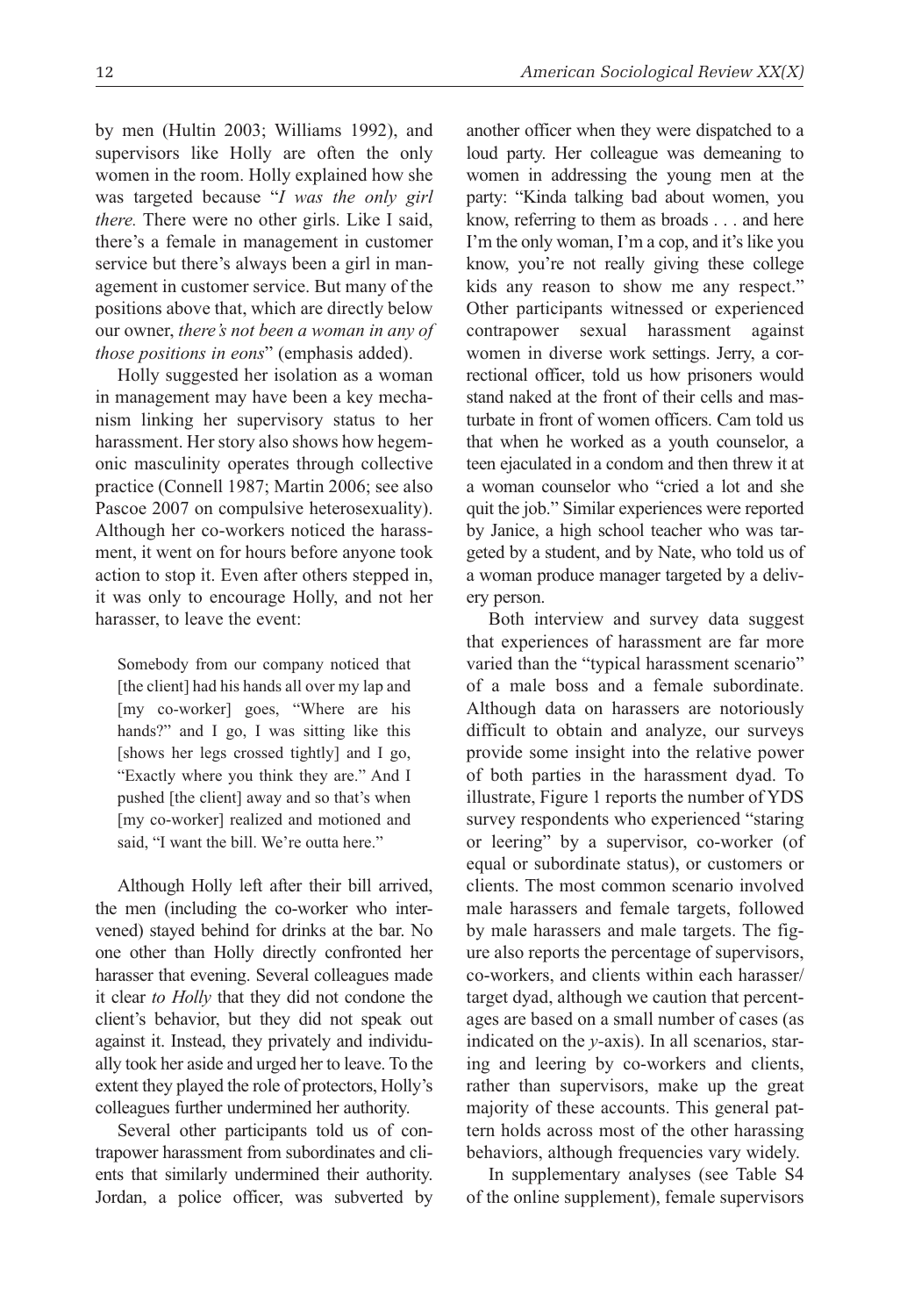by men (Hultin 2003; Williams 1992), and supervisors like Holly are often the only women in the room. Holly explained how she was targeted because "*I was the only girl there.* There were no other girls. Like I said, there's a female in management in customer service but there's always been a girl in management in customer service. But many of the positions above that, which are directly below our owner, *there's not been a woman in any of those positions in eons*" (emphasis added).

Holly suggested her isolation as a woman in management may have been a key mechanism linking her supervisory status to her harassment. Her story also shows how hegemonic masculinity operates through collective practice (Connell 1987; Martin 2006; see also Pascoe 2007 on compulsive heterosexuality). Although her co-workers noticed the harassment, it went on for hours before anyone took action to stop it. Even after others stepped in, it was only to encourage Holly, and not her harasser, to leave the event:

Somebody from our company noticed that [the client] had his hands all over my lap and [my co-worker] goes, "Where are his hands?" and I go, I was sitting like this [shows her legs crossed tightly] and I go, "Exactly where you think they are." And I pushed [the client] away and so that's when [my co-worker] realized and motioned and said, "I want the bill. We're outta here."

Although Holly left after their bill arrived, the men (including the co-worker who intervened) stayed behind for drinks at the bar. No one other than Holly directly confronted her harasser that evening. Several colleagues made it clear *to Holly* that they did not condone the client's behavior, but they did not speak out against it. Instead, they privately and individually took her aside and urged her to leave. To the extent they played the role of protectors, Holly's colleagues further undermined her authority.

Several other participants told us of contrapower harassment from subordinates and clients that similarly undermined their authority. Jordan, a police officer, was subverted by another officer when they were dispatched to a loud party. Her colleague was demeaning to women in addressing the young men at the party: "Kinda talking bad about women, you know, referring to them as broads . . . and here I'm the only woman, I'm a cop, and it's like you know, you're not really giving these college kids any reason to show me any respect." Other participants witnessed or experienced contrapower sexual harassment against women in diverse work settings. Jerry, a correctional officer, told us how prisoners would stand naked at the front of their cells and masturbate in front of women officers. Cam told us that when he worked as a youth counselor, a teen ejaculated in a condom and then threw it at a woman counselor who "cried a lot and she quit the job." Similar experiences were reported by Janice, a high school teacher who was targeted by a student, and by Nate, who told us of a woman produce manager targeted by a delivery person.

Both interview and survey data suggest that experiences of harassment are far more varied than the "typical harassment scenario" of a male boss and a female subordinate. Although data on harassers are notoriously difficult to obtain and analyze, our surveys provide some insight into the relative power of both parties in the harassment dyad. To illustrate, Figure 1 reports the number of YDS survey respondents who experienced "staring or leering" by a supervisor, co-worker (of equal or subordinate status), or customers or clients. The most common scenario involved male harassers and female targets, followed by male harassers and male targets. The figure also reports the percentage of supervisors, co-workers, and clients within each harasser/ target dyad, although we caution that percentages are based on a small number of cases (as indicated on the *y-*axis). In all scenarios, staring and leering by co-workers and clients, rather than supervisors, make up the great majority of these accounts. This general pattern holds across most of the other harassing behaviors, although frequencies vary widely.

In supplementary analyses (see Table S4 of the online supplement), female supervisors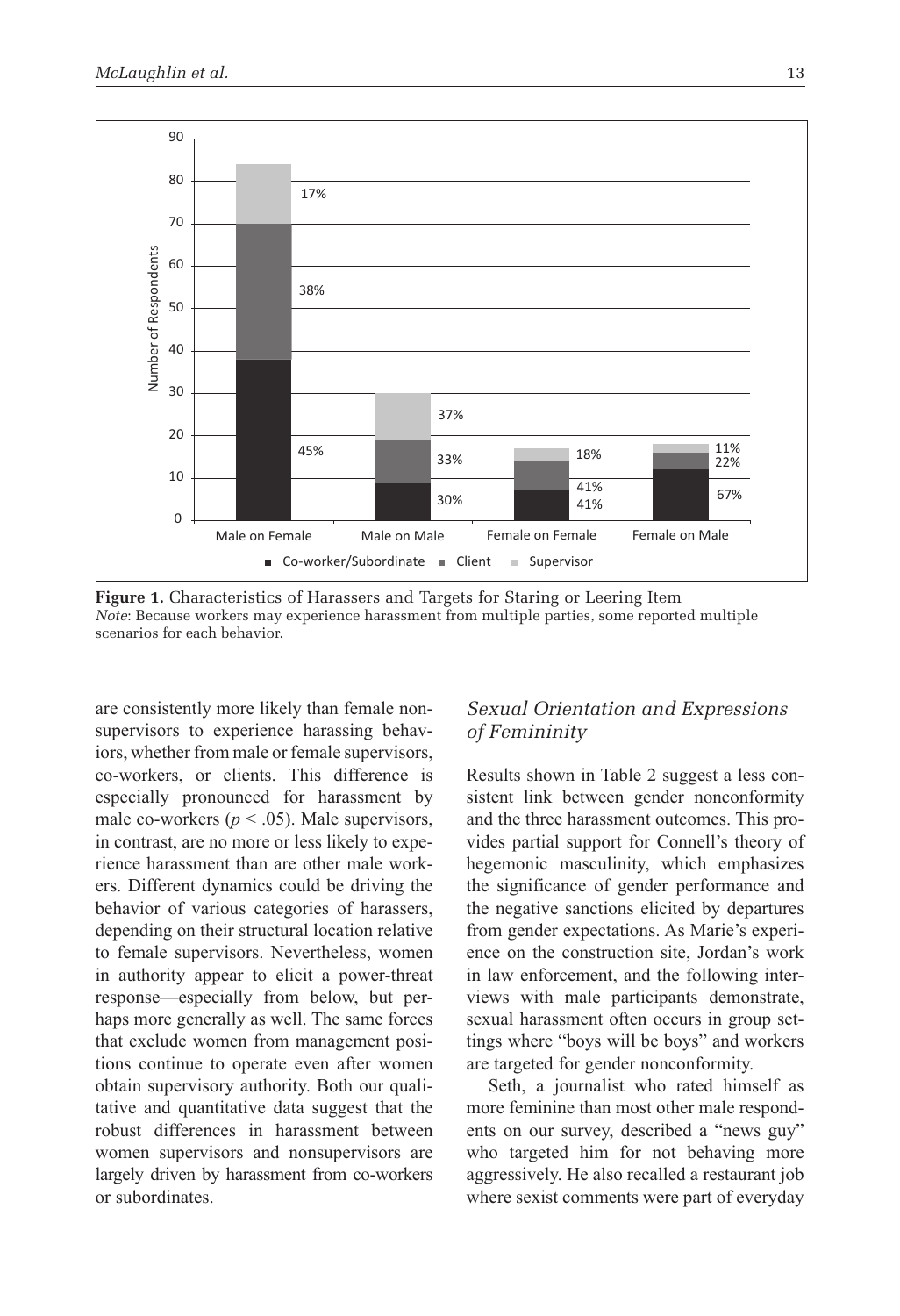

**Figure 1.** Characteristics of Harassers and Targets for Staring or Leering Item *Note*: Because workers may experience harassment from multiple parties, some reported multiple scenarios for each behavior.

are consistently more likely than female nonsupervisors to experience harassing behaviors, whether from male or female supervisors, co-workers, or clients. This difference is especially pronounced for harassment by male co-workers ( $p < .05$ ). Male supervisors, in contrast, are no more or less likely to experience harassment than are other male workers. Different dynamics could be driving the behavior of various categories of harassers, depending on their structural location relative to female supervisors. Nevertheless, women in authority appear to elicit a power-threat response—especially from below, but perhaps more generally as well. The same forces that exclude women from management positions continue to operate even after women obtain supervisory authority. Both our qualitative and quantitative data suggest that the robust differences in harassment between women supervisors and nonsupervisors are largely driven by harassment from co-workers or subordinates.

## *Sexual Orientation and Expressions of Femininity*

Results shown in Table 2 suggest a less consistent link between gender nonconformity and the three harassment outcomes. This provides partial support for Connell's theory of hegemonic masculinity, which emphasizes the significance of gender performance and the negative sanctions elicited by departures from gender expectations. As Marie's experience on the construction site, Jordan's work in law enforcement, and the following interviews with male participants demonstrate, sexual harassment often occurs in group settings where "boys will be boys" and workers are targeted for gender nonconformity.

Seth, a journalist who rated himself as more feminine than most other male respondents on our survey, described a "news guy" who targeted him for not behaving more aggressively. He also recalled a restaurant job where sexist comments were part of everyday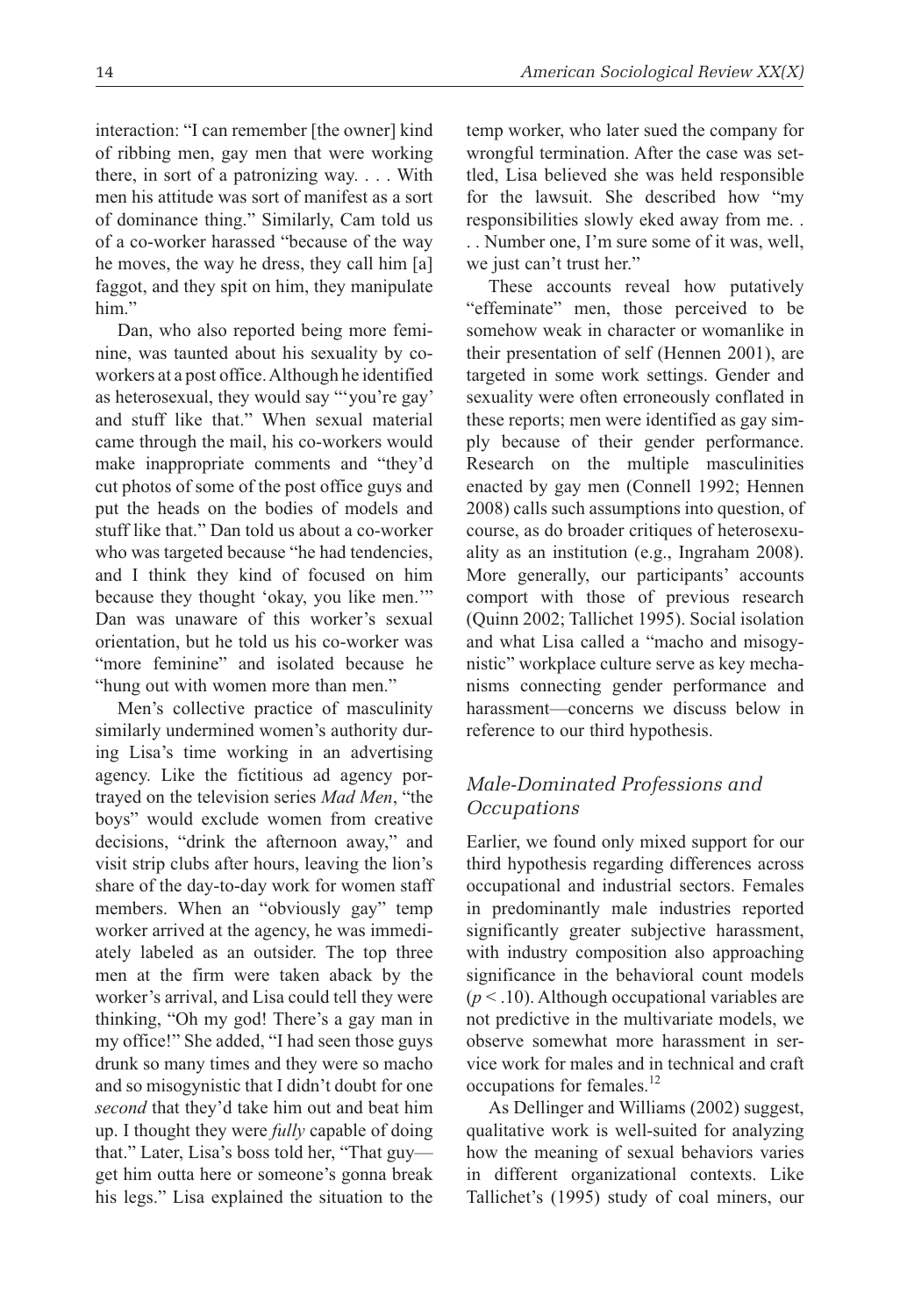interaction: "I can remember [the owner] kind of ribbing men, gay men that were working there, in sort of a patronizing way. . . . With men his attitude was sort of manifest as a sort of dominance thing." Similarly, Cam told us of a co-worker harassed "because of the way he moves, the way he dress, they call him [a] faggot, and they spit on him, they manipulate him."

Dan, who also reported being more feminine, was taunted about his sexuality by coworkers at a post office. Although he identified as heterosexual, they would say "'you're gay' and stuff like that." When sexual material came through the mail, his co-workers would make inappropriate comments and "they'd cut photos of some of the post office guys and put the heads on the bodies of models and stuff like that." Dan told us about a co-worker who was targeted because "he had tendencies, and I think they kind of focused on him because they thought 'okay, you like men.'" Dan was unaware of this worker's sexual orientation, but he told us his co-worker was "more feminine" and isolated because he "hung out with women more than men."

Men's collective practice of masculinity similarly undermined women's authority during Lisa's time working in an advertising agency. Like the fictitious ad agency portrayed on the television series *Mad Men*, "the boys" would exclude women from creative decisions, "drink the afternoon away," and visit strip clubs after hours, leaving the lion's share of the day-to-day work for women staff members. When an "obviously gay" temp worker arrived at the agency, he was immediately labeled as an outsider. The top three men at the firm were taken aback by the worker's arrival, and Lisa could tell they were thinking, "Oh my god! There's a gay man in my office!" She added, "I had seen those guys drunk so many times and they were so macho and so misogynistic that I didn't doubt for one *second* that they'd take him out and beat him up. I thought they were *fully* capable of doing that." Later, Lisa's boss told her, "That guy get him outta here or someone's gonna break his legs." Lisa explained the situation to the

temp worker, who later sued the company for wrongful termination. After the case was settled, Lisa believed she was held responsible for the lawsuit. She described how "my responsibilities slowly eked away from me. .

. . Number one, I'm sure some of it was, well, we just can't trust her."

These accounts reveal how putatively "effeminate" men, those perceived to be somehow weak in character or womanlike in their presentation of self (Hennen 2001), are targeted in some work settings. Gender and sexuality were often erroneously conflated in these reports; men were identified as gay simply because of their gender performance. Research on the multiple masculinities enacted by gay men (Connell 1992; Hennen 2008) calls such assumptions into question, of course, as do broader critiques of heterosexuality as an institution (e.g., Ingraham 2008). More generally, our participants' accounts comport with those of previous research (Quinn 2002; Tallichet 1995). Social isolation and what Lisa called a "macho and misogynistic" workplace culture serve as key mechanisms connecting gender performance and harassment—concerns we discuss below in reference to our third hypothesis.

## *Male-Dominated Professions and Occupations*

Earlier, we found only mixed support for our third hypothesis regarding differences across occupational and industrial sectors. Females in predominantly male industries reported significantly greater subjective harassment, with industry composition also approaching significance in the behavioral count models (*p* < .10). Although occupational variables are not predictive in the multivariate models, we observe somewhat more harassment in service work for males and in technical and craft occupations for females.<sup>12</sup>

As Dellinger and Williams (2002) suggest, qualitative work is well-suited for analyzing how the meaning of sexual behaviors varies in different organizational contexts. Like Tallichet's (1995) study of coal miners, our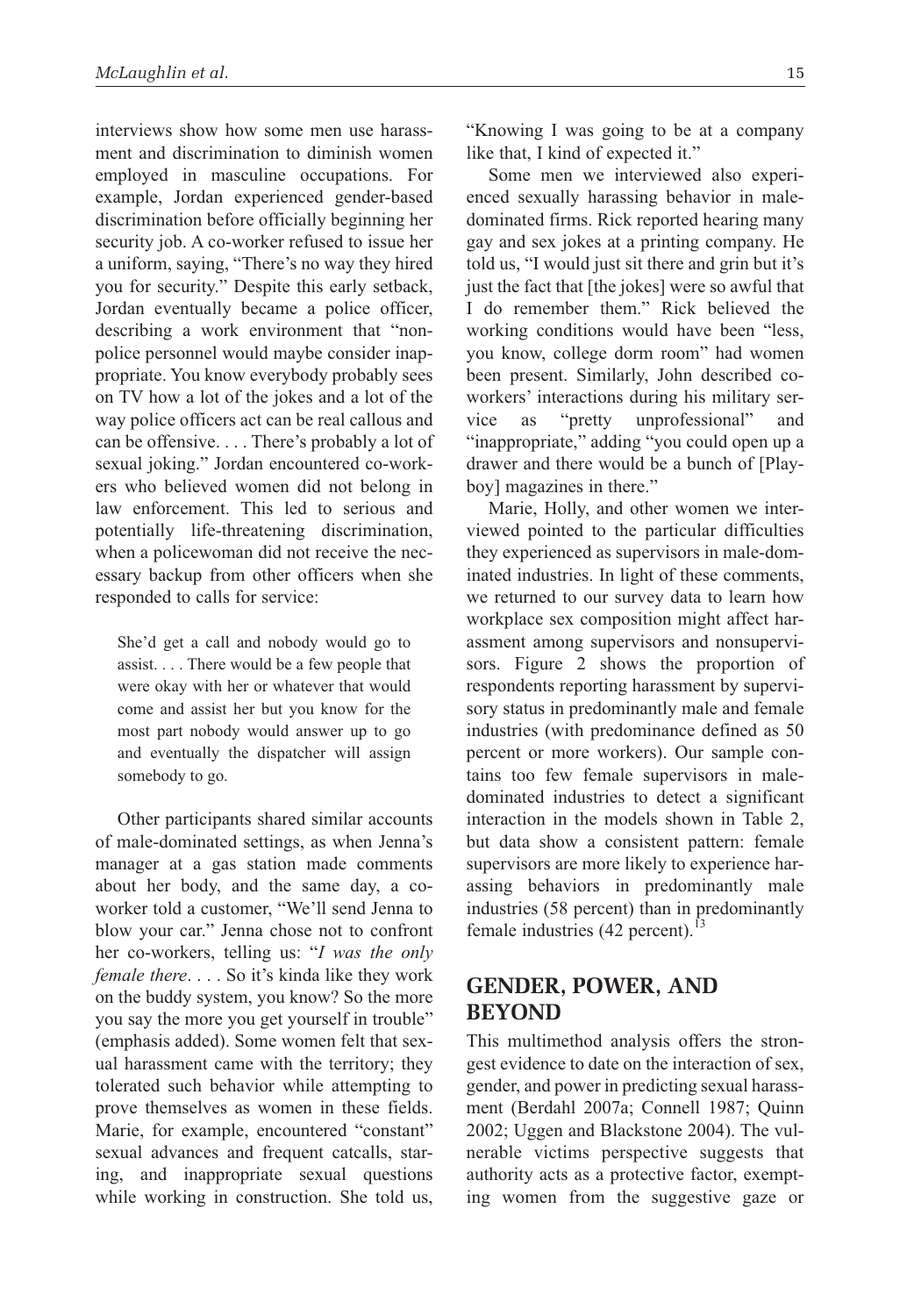interviews show how some men use harassment and discrimination to diminish women employed in masculine occupations. For example, Jordan experienced gender-based discrimination before officially beginning her security job. A co-worker refused to issue her a uniform, saying, "There's no way they hired you for security." Despite this early setback, Jordan eventually became a police officer, describing a work environment that "nonpolice personnel would maybe consider inappropriate. You know everybody probably sees on TV how a lot of the jokes and a lot of the way police officers act can be real callous and can be offensive. . . . There's probably a lot of sexual joking." Jordan encountered co-workers who believed women did not belong in law enforcement. This led to serious and potentially life-threatening discrimination, when a policewoman did not receive the necessary backup from other officers when she responded to calls for service:

She'd get a call and nobody would go to assist. . . . There would be a few people that were okay with her or whatever that would come and assist her but you know for the most part nobody would answer up to go and eventually the dispatcher will assign somebody to go.

Other participants shared similar accounts of male-dominated settings, as when Jenna's manager at a gas station made comments about her body, and the same day, a coworker told a customer, "We'll send Jenna to blow your car." Jenna chose not to confront her co-workers, telling us: "*I was the only female there*. . . . So it's kinda like they work on the buddy system, you know? So the more you say the more you get yourself in trouble" (emphasis added). Some women felt that sexual harassment came with the territory; they tolerated such behavior while attempting to prove themselves as women in these fields. Marie, for example, encountered "constant" sexual advances and frequent catcalls, staring, and inappropriate sexual questions while working in construction. She told us, "Knowing I was going to be at a company like that, I kind of expected it."

Some men we interviewed also experienced sexually harassing behavior in maledominated firms. Rick reported hearing many gay and sex jokes at a printing company. He told us, "I would just sit there and grin but it's just the fact that [the jokes] were so awful that I do remember them." Rick believed the working conditions would have been "less, you know, college dorm room" had women been present. Similarly, John described coworkers' interactions during his military service as "pretty unprofessional" and "inappropriate," adding "you could open up a drawer and there would be a bunch of [Playboy] magazines in there."

Marie, Holly, and other women we interviewed pointed to the particular difficulties they experienced as supervisors in male-dominated industries. In light of these comments, we returned to our survey data to learn how workplace sex composition might affect harassment among supervisors and nonsupervisors. Figure 2 shows the proportion of respondents reporting harassment by supervisory status in predominantly male and female industries (with predominance defined as 50 percent or more workers). Our sample contains too few female supervisors in maledominated industries to detect a significant interaction in the models shown in Table 2, but data show a consistent pattern: female supervisors are more likely to experience harassing behaviors in predominantly male industries (58 percent) than in predominantly female industries  $(42$  percent).<sup>13</sup>

## **Gender, Power, And Beyond**

This multimethod analysis offers the strongest evidence to date on the interaction of sex, gender, and power in predicting sexual harassment (Berdahl 2007a; Connell 1987; Quinn 2002; Uggen and Blackstone 2004). The vulnerable victims perspective suggests that authority acts as a protective factor, exempting women from the suggestive gaze or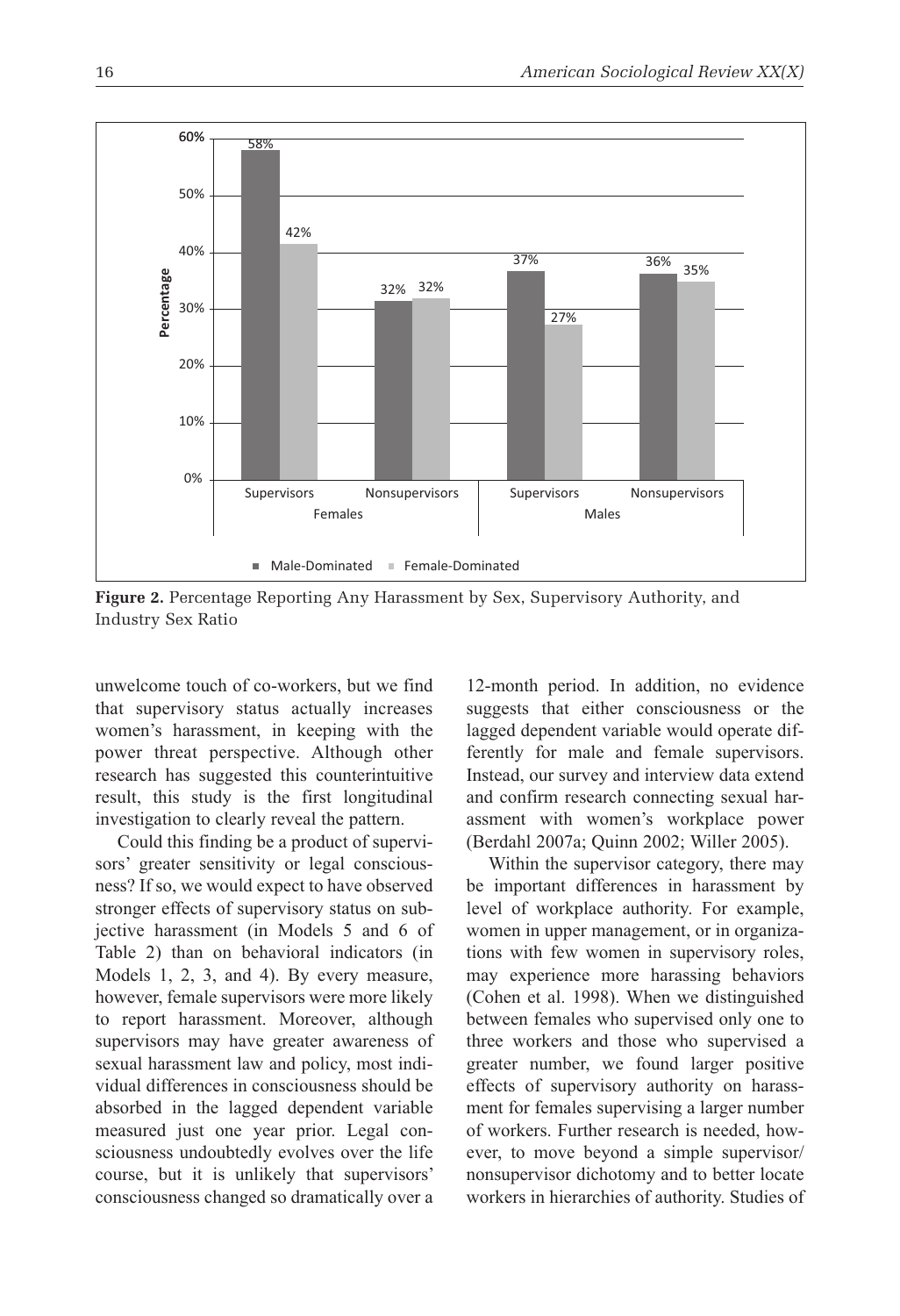

**Figure 2.** Percentage Reporting Any Harassment by Sex, Supervisory Authority, and Industry Sex Ratio

unwelcome touch of co-workers, but we find that supervisory status actually increases women's harassment, in keeping with the power threat perspective. Although other research has suggested this counterintuitive result, this study is the first longitudinal investigation to clearly reveal the pattern.

Could this finding be a product of supervisors' greater sensitivity or legal consciousness? If so, we would expect to have observed stronger effects of supervisory status on subjective harassment (in Models 5 and 6 of Table 2) than on behavioral indicators (in Models 1, 2, 3, and 4). By every measure, however, female supervisors were more likely to report harassment. Moreover, although supervisors may have greater awareness of sexual harassment law and policy, most individual differences in consciousness should be absorbed in the lagged dependent variable measured just one year prior. Legal consciousness undoubtedly evolves over the life course, but it is unlikely that supervisors' consciousness changed so dramatically over a

12-month period. In addition, no evidence suggests that either consciousness or the lagged dependent variable would operate differently for male and female supervisors. Instead, our survey and interview data extend and confirm research connecting sexual harassment with women's workplace power (Berdahl 2007a; Quinn 2002; Willer 2005).

Within the supervisor category, there may be important differences in harassment by level of workplace authority. For example, women in upper management, or in organizations with few women in supervisory roles, may experience more harassing behaviors (Cohen et al. 1998). When we distinguished between females who supervised only one to three workers and those who supervised a greater number, we found larger positive effects of supervisory authority on harassment for females supervising a larger number of workers. Further research is needed, however, to move beyond a simple supervisor/ nonsupervisor dichotomy and to better locate workers in hierarchies of authority. Studies of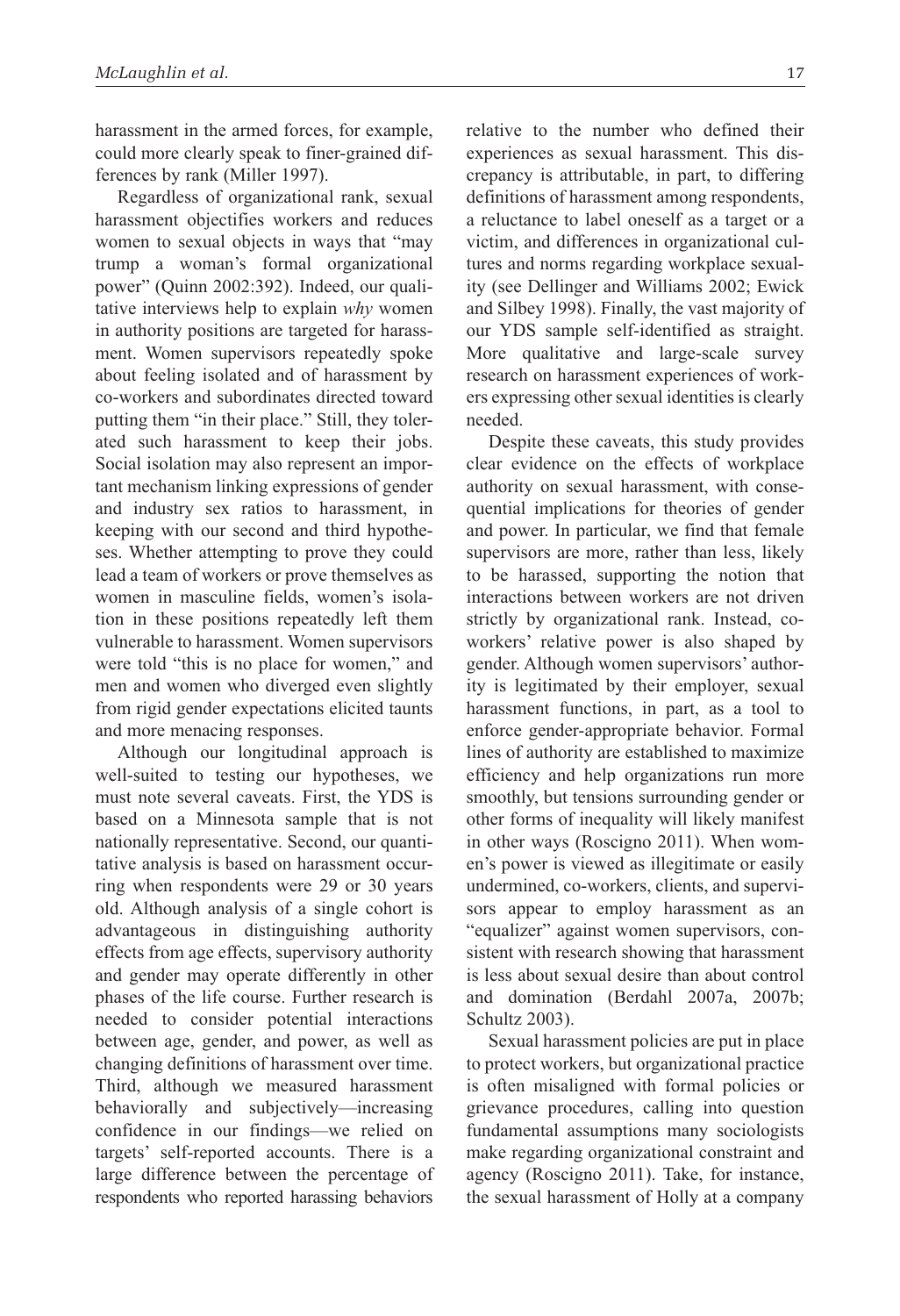harassment in the armed forces, for example, could more clearly speak to finer-grained differences by rank (Miller 1997).

Regardless of organizational rank, sexual harassment objectifies workers and reduces women to sexual objects in ways that "may trump a woman's formal organizational power" (Quinn 2002:392). Indeed, our qualitative interviews help to explain *why* women in authority positions are targeted for harassment. Women supervisors repeatedly spoke about feeling isolated and of harassment by co-workers and subordinates directed toward putting them "in their place." Still, they tolerated such harassment to keep their jobs. Social isolation may also represent an important mechanism linking expressions of gender and industry sex ratios to harassment, in keeping with our second and third hypotheses. Whether attempting to prove they could lead a team of workers or prove themselves as women in masculine fields, women's isolation in these positions repeatedly left them vulnerable to harassment. Women supervisors were told "this is no place for women," and men and women who diverged even slightly from rigid gender expectations elicited taunts and more menacing responses.

Although our longitudinal approach is well-suited to testing our hypotheses, we must note several caveats. First, the YDS is based on a Minnesota sample that is not nationally representative. Second, our quantitative analysis is based on harassment occurring when respondents were 29 or 30 years old. Although analysis of a single cohort is advantageous in distinguishing authority effects from age effects, supervisory authority and gender may operate differently in other phases of the life course. Further research is needed to consider potential interactions between age, gender, and power, as well as changing definitions of harassment over time. Third, although we measured harassment behaviorally and subjectively—increasing confidence in our findings—we relied on targets' self-reported accounts. There is a large difference between the percentage of respondents who reported harassing behaviors

relative to the number who defined their experiences as sexual harassment. This discrepancy is attributable, in part, to differing definitions of harassment among respondents, a reluctance to label oneself as a target or a victim, and differences in organizational cultures and norms regarding workplace sexuality (see Dellinger and Williams 2002; Ewick and Silbey 1998). Finally, the vast majority of our YDS sample self-identified as straight. More qualitative and large-scale survey research on harassment experiences of workers expressing other sexual identities is clearly needed.

Despite these caveats, this study provides clear evidence on the effects of workplace authority on sexual harassment, with consequential implications for theories of gender and power. In particular, we find that female supervisors are more, rather than less, likely to be harassed, supporting the notion that interactions between workers are not driven strictly by organizational rank. Instead, coworkers' relative power is also shaped by gender. Although women supervisors' authority is legitimated by their employer, sexual harassment functions, in part, as a tool to enforce gender-appropriate behavior. Formal lines of authority are established to maximize efficiency and help organizations run more smoothly, but tensions surrounding gender or other forms of inequality will likely manifest in other ways (Roscigno 2011). When women's power is viewed as illegitimate or easily undermined, co-workers, clients, and supervisors appear to employ harassment as an "equalizer" against women supervisors, consistent with research showing that harassment is less about sexual desire than about control and domination (Berdahl 2007a, 2007b; Schultz 2003).

Sexual harassment policies are put in place to protect workers, but organizational practice is often misaligned with formal policies or grievance procedures, calling into question fundamental assumptions many sociologists make regarding organizational constraint and agency (Roscigno 2011). Take, for instance, the sexual harassment of Holly at a company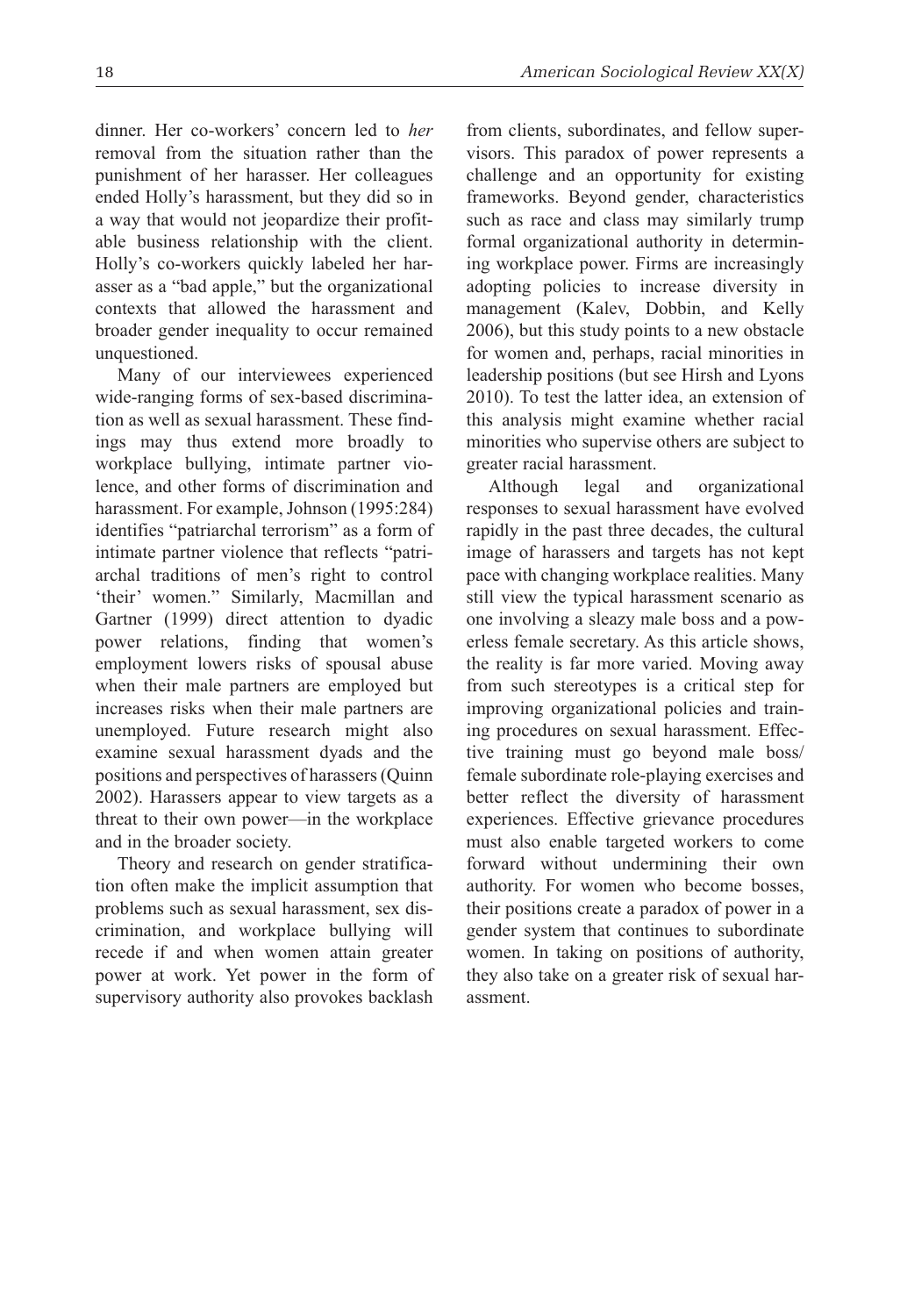dinner. Her co-workers' concern led to *her* removal from the situation rather than the punishment of her harasser. Her colleagues ended Holly's harassment, but they did so in a way that would not jeopardize their profitable business relationship with the client. Holly's co-workers quickly labeled her harasser as a "bad apple," but the organizational contexts that allowed the harassment and broader gender inequality to occur remained unquestioned.

Many of our interviewees experienced wide-ranging forms of sex-based discrimination as well as sexual harassment. These findings may thus extend more broadly to workplace bullying, intimate partner violence, and other forms of discrimination and harassment. For example, Johnson (1995:284) identifies "patriarchal terrorism" as a form of intimate partner violence that reflects "patriarchal traditions of men's right to control 'their' women." Similarly, Macmillan and Gartner (1999) direct attention to dyadic power relations, finding that women's employment lowers risks of spousal abuse when their male partners are employed but increases risks when their male partners are unemployed. Future research might also examine sexual harassment dyads and the positions and perspectives of harassers (Quinn 2002). Harassers appear to view targets as a threat to their own power—in the workplace and in the broader society.

Theory and research on gender stratification often make the implicit assumption that problems such as sexual harassment, sex discrimination, and workplace bullying will recede if and when women attain greater power at work. Yet power in the form of supervisory authority also provokes backlash

from clients, subordinates, and fellow supervisors. This paradox of power represents a challenge and an opportunity for existing frameworks. Beyond gender, characteristics such as race and class may similarly trump formal organizational authority in determining workplace power. Firms are increasingly adopting policies to increase diversity in management (Kalev, Dobbin, and Kelly 2006), but this study points to a new obstacle for women and, perhaps, racial minorities in leadership positions (but see Hirsh and Lyons 2010). To test the latter idea, an extension of this analysis might examine whether racial minorities who supervise others are subject to greater racial harassment.

Although legal and organizational responses to sexual harassment have evolved rapidly in the past three decades, the cultural image of harassers and targets has not kept pace with changing workplace realities. Many still view the typical harassment scenario as one involving a sleazy male boss and a powerless female secretary. As this article shows, the reality is far more varied. Moving away from such stereotypes is a critical step for improving organizational policies and training procedures on sexual harassment. Effective training must go beyond male boss/ female subordinate role-playing exercises and better reflect the diversity of harassment experiences. Effective grievance procedures must also enable targeted workers to come forward without undermining their own authority. For women who become bosses, their positions create a paradox of power in a gender system that continues to subordinate women. In taking on positions of authority, they also take on a greater risk of sexual harassment.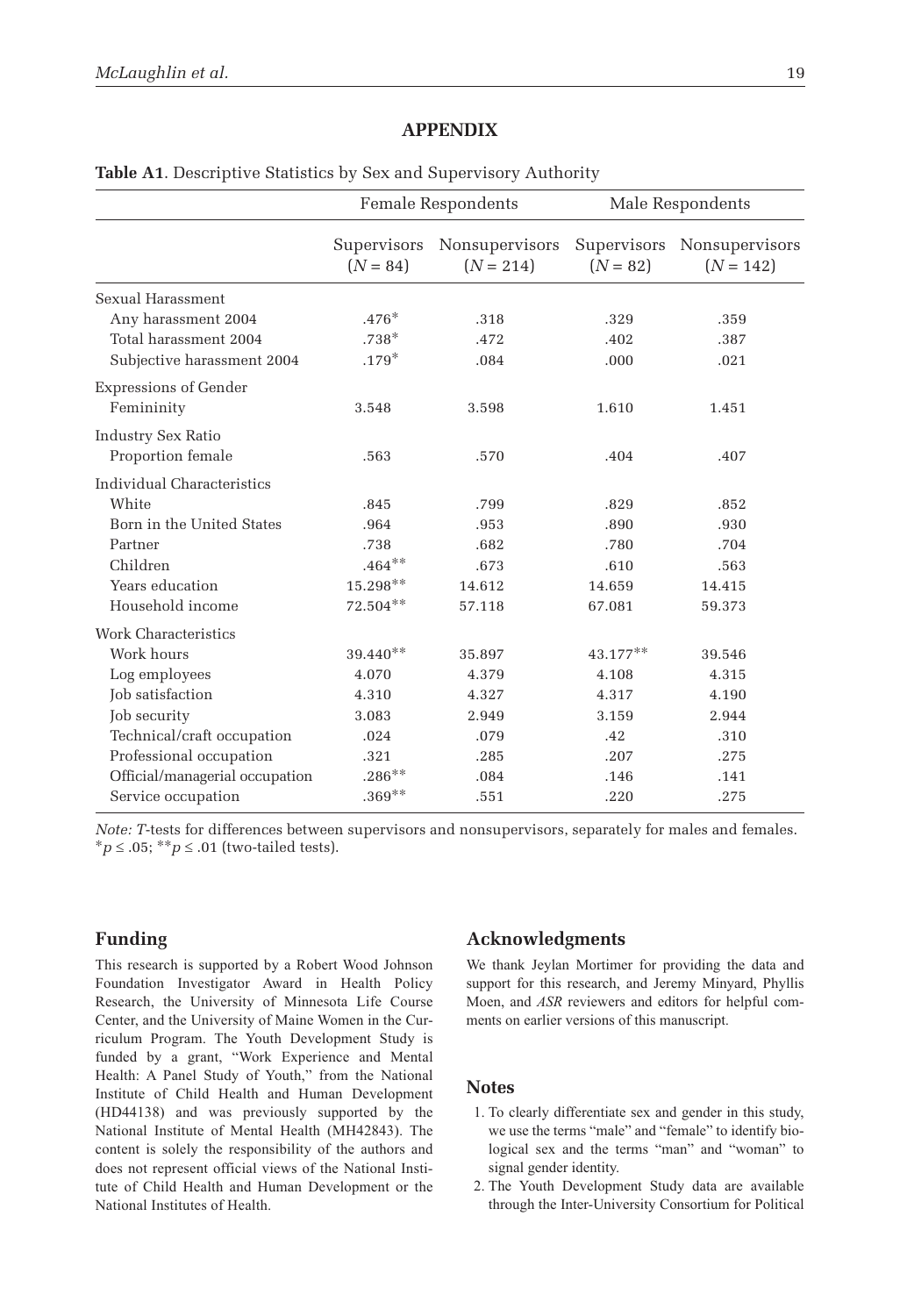#### **Appendix**

|                                | Female Respondents        |                               | Male Respondents |                                           |
|--------------------------------|---------------------------|-------------------------------|------------------|-------------------------------------------|
|                                | Supervisors<br>$(N = 84)$ | Nonsupervisors<br>$(N = 214)$ | $(N = 82)$       | Supervisors Nonsupervisors<br>$(N = 142)$ |
| Sexual Harassment              |                           |                               |                  |                                           |
| Any harassment 2004            | $.476*$                   | .318                          | .329             | .359                                      |
| Total harassment 2004          | $.738*$                   | .472                          | .402             | .387                                      |
| Subjective harassment 2004     | $.179*$                   | .084                          | .000             | .021                                      |
| Expressions of Gender          |                           |                               |                  |                                           |
| Femininity                     | 3.548                     | 3.598                         | 1.610            | 1.451                                     |
| Industry Sex Ratio             |                           |                               |                  |                                           |
| Proportion female              | .563                      | .570                          | .404             | .407                                      |
| Individual Characteristics     |                           |                               |                  |                                           |
| White                          | .845                      | .799                          | .829             | .852                                      |
| Born in the United States      | .964                      | .953                          | .890             | .930                                      |
| Partner                        | .738                      | .682                          | .780             | .704                                      |
| Children                       | $.464**$                  | .673                          | .610             | .563                                      |
| Years education                | 15.298**                  | 14.612                        | 14.659           | 14.415                                    |
| Household income               | 72.504**                  | 57.118                        | 67.081           | 59.373                                    |
| Work Characteristics           |                           |                               |                  |                                           |
| Work hours                     | 39.440**                  | 35.897                        | 43.177**         | 39.546                                    |
| Log employees                  | 4.070                     | 4.379                         | 4.108            | 4.315                                     |
| Job satisfaction               | 4.310                     | 4.327                         | 4.317            | 4.190                                     |
| Job security                   | 3.083                     | 2.949                         | 3.159            | 2.944                                     |
| Technical/craft occupation     | .024                      | .079                          | .42              | .310                                      |
| Professional occupation        | .321                      | .285                          | .207             | .275                                      |
| Official/managerial occupation | $.286**$                  | .084                          | .146             | .141                                      |
| Service occupation             | $.369**$                  | .551                          | .220             | .275                                      |

#### **Table A1**. Descriptive Statistics by Sex and Supervisory Authority

*Note: T*-tests for differences between supervisors and nonsupervisors, separately for males and females. *\*p* ≤ .05; *\*\*p* ≤ .01 (two-tailed tests).

### **Funding**

This research is supported by a Robert Wood Johnson Foundation Investigator Award in Health Policy Research, the University of Minnesota Life Course Center, and the University of Maine Women in the Curriculum Program. The Youth Development Study is funded by a grant, "Work Experience and Mental Health: A Panel Study of Youth," from the National Institute of Child Health and Human Development (HD44138) and was previously supported by the National Institute of Mental Health (MH42843). The content is solely the responsibility of the authors and does not represent official views of the National Institute of Child Health and Human Development or the National Institutes of Health.

#### **Acknowledgments**

We thank Jeylan Mortimer for providing the data and support for this research, and Jeremy Minyard, Phyllis Moen, and *ASR* reviewers and editors for helpful comments on earlier versions of this manuscript.

#### **Notes**

- 1. To clearly differentiate sex and gender in this study, we use the terms "male" and "female" to identify biological sex and the terms "man" and "woman" to signal gender identity.
- 2. The Youth Development Study data are available through the Inter-University Consortium for Political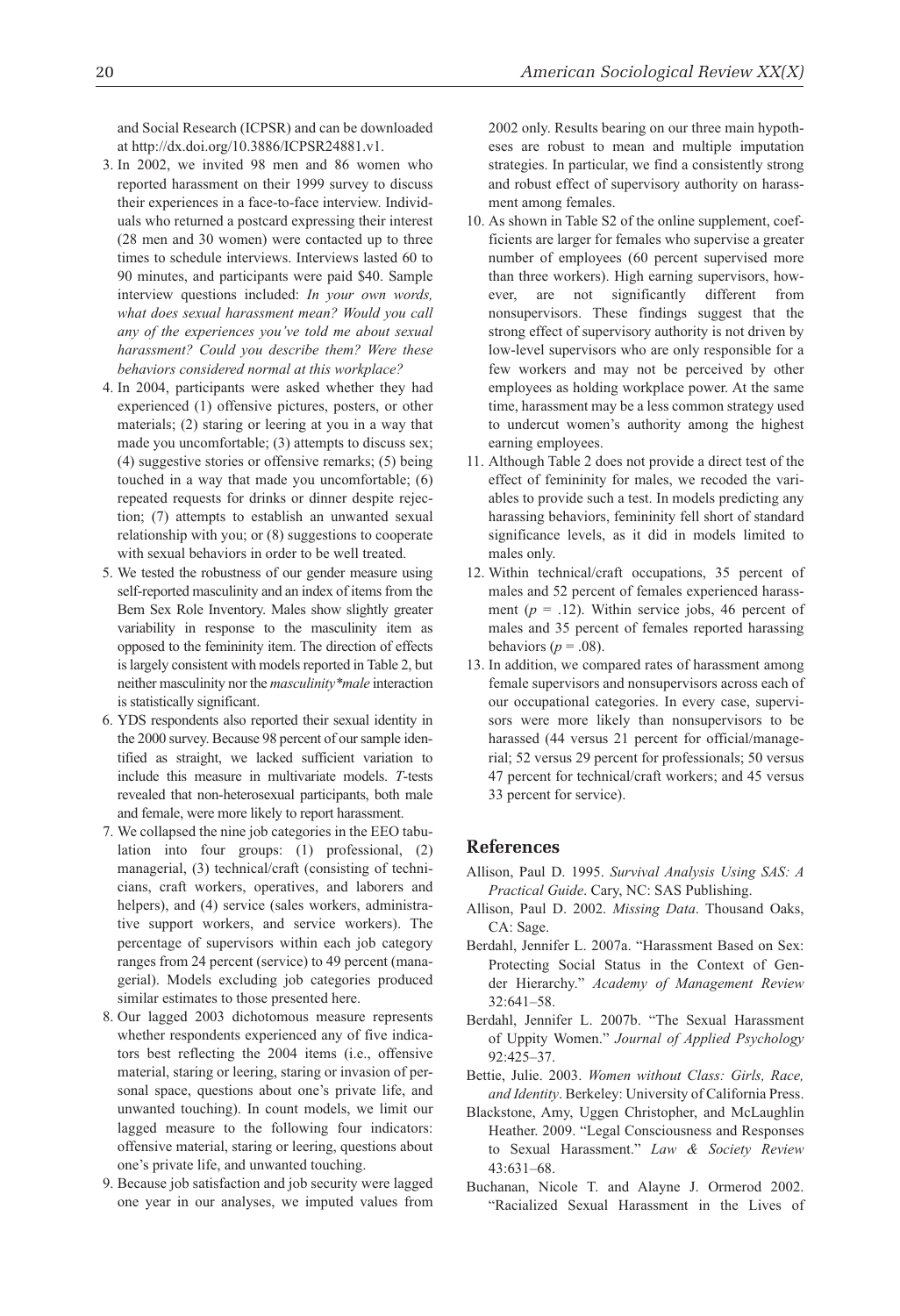and Social Research (ICPSR) and can be downloaded at http://dx.doi.org/10.3886/ICPSR24881.v1.

- 3. In 2002, we invited 98 men and 86 women who reported harassment on their 1999 survey to discuss their experiences in a face-to-face interview. Individuals who returned a postcard expressing their interest (28 men and 30 women) were contacted up to three times to schedule interviews. Interviews lasted 60 to 90 minutes, and participants were paid \$40. Sample interview questions included: *In your own words, what does sexual harassment mean? Would you call any of the experiences you've told me about sexual harassment? Could you describe them? Were these behaviors considered normal at this workplace?*
- 4. In 2004, participants were asked whether they had experienced (1) offensive pictures, posters, or other materials; (2) staring or leering at you in a way that made you uncomfortable; (3) attempts to discuss sex; (4) suggestive stories or offensive remarks; (5) being touched in a way that made you uncomfortable; (6) repeated requests for drinks or dinner despite rejection; (7) attempts to establish an unwanted sexual relationship with you; or (8) suggestions to cooperate with sexual behaviors in order to be well treated.
- 5. We tested the robustness of our gender measure using self-reported masculinity and an index of items from the Bem Sex Role Inventory. Males show slightly greater variability in response to the masculinity item as opposed to the femininity item. The direction of effects is largely consistent with models reported in Table 2, but neither masculinity nor the *masculinity\*male* interaction is statistically significant.
- 6. YDS respondents also reported their sexual identity in the 2000 survey. Because 98 percent of our sample identified as straight, we lacked sufficient variation to include this measure in multivariate models. *T*-tests revealed that non-heterosexual participants, both male and female, were more likely to report harassment.
- 7. We collapsed the nine job categories in the EEO tabulation into four groups: (1) professional, (2) managerial, (3) technical/craft (consisting of technicians, craft workers, operatives, and laborers and helpers), and (4) service (sales workers, administrative support workers, and service workers). The percentage of supervisors within each job category ranges from 24 percent (service) to 49 percent (managerial). Models excluding job categories produced similar estimates to those presented here.
- 8. Our lagged 2003 dichotomous measure represents whether respondents experienced any of five indicators best reflecting the 2004 items (i.e., offensive material, staring or leering, staring or invasion of personal space, questions about one's private life, and unwanted touching). In count models, we limit our lagged measure to the following four indicators: offensive material, staring or leering, questions about one's private life, and unwanted touching.
- 9. Because job satisfaction and job security were lagged one year in our analyses, we imputed values from

2002 only. Results bearing on our three main hypotheses are robust to mean and multiple imputation strategies. In particular, we find a consistently strong and robust effect of supervisory authority on harassment among females.

- 10. As shown in Table S2 of the online supplement, coefficients are larger for females who supervise a greater number of employees (60 percent supervised more than three workers). High earning supervisors, however, are not significantly different from nonsupervisors. These findings suggest that the strong effect of supervisory authority is not driven by low-level supervisors who are only responsible for a few workers and may not be perceived by other employees as holding workplace power. At the same time, harassment may be a less common strategy used to undercut women's authority among the highest earning employees.
- 11. Although Table 2 does not provide a direct test of the effect of femininity for males, we recoded the variables to provide such a test. In models predicting any harassing behaviors, femininity fell short of standard significance levels, as it did in models limited to males only.
- 12. Within technical/craft occupations, 35 percent of males and 52 percent of females experienced harassment ( $p = .12$ ). Within service jobs, 46 percent of males and 35 percent of females reported harassing behaviors ( $p = .08$ ).
- 13. In addition, we compared rates of harassment among female supervisors and nonsupervisors across each of our occupational categories. In every case, supervisors were more likely than nonsupervisors to be harassed (44 versus 21 percent for official/managerial; 52 versus 29 percent for professionals; 50 versus 47 percent for technical/craft workers; and 45 versus 33 percent for service).

#### **References**

- Allison, Paul D. 1995. *Survival Analysis Using SAS: A Practical Guide*. Cary, NC: SAS Publishing.
- Allison, Paul D. 2002. *Missing Data*. Thousand Oaks, CA: Sage.
- Berdahl, Jennifer L. 2007a. "Harassment Based on Sex: Protecting Social Status in the Context of Gender Hierarchy." *Academy of Management Review* 32:641–58.
- Berdahl, Jennifer L. 2007b. "The Sexual Harassment of Uppity Women." *Journal of Applied Psychology* 92:425–37.
- Bettie, Julie. 2003. *Women without Class: Girls, Race, and Identity*. Berkeley: University of California Press.
- Blackstone, Amy, Uggen Christopher, and McLaughlin Heather. 2009. "Legal Consciousness and Responses to Sexual Harassment." *Law & Society Review* 43:631–68.
- Buchanan, Nicole T. and Alayne J. Ormerod 2002. "Racialized Sexual Harassment in the Lives of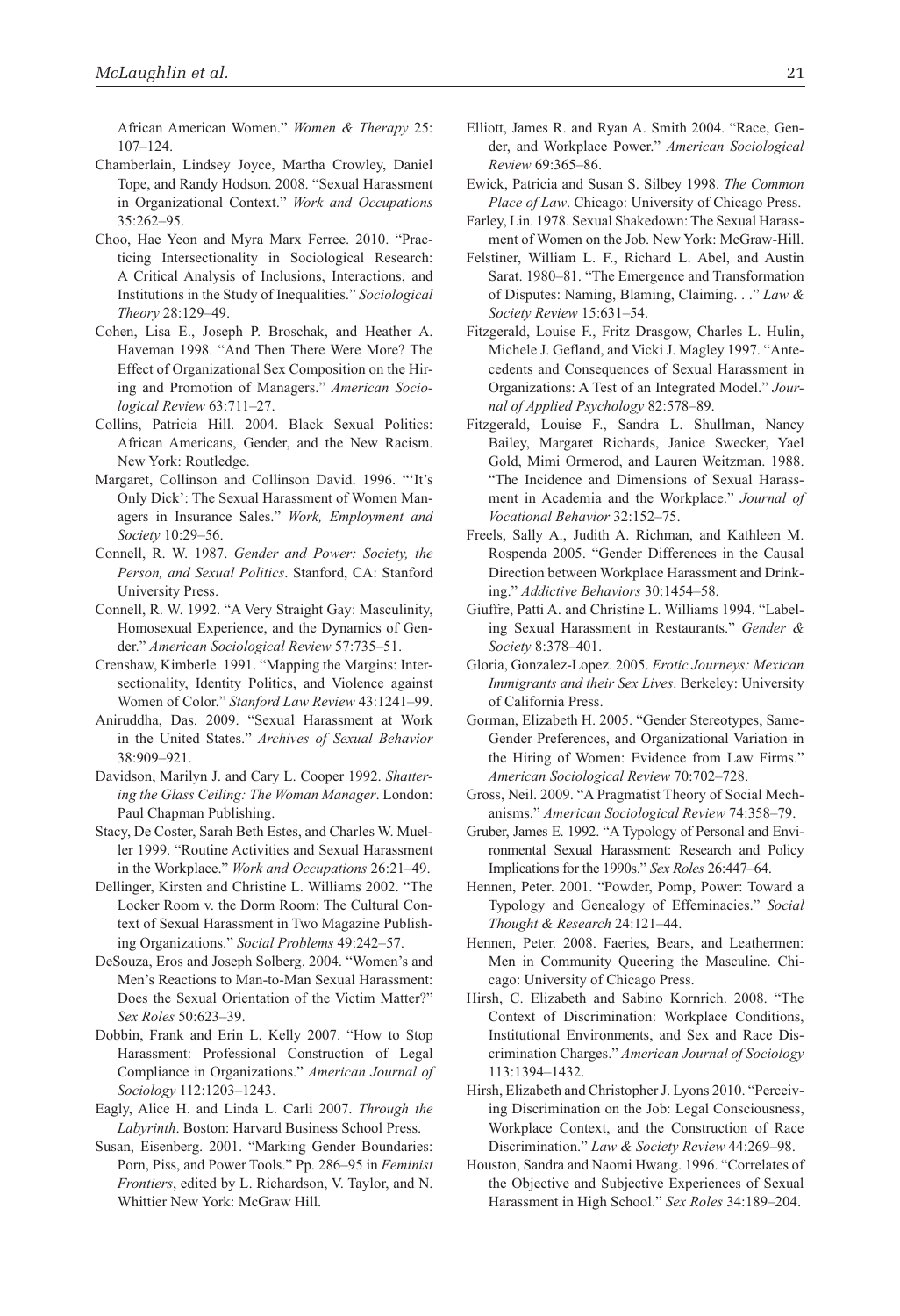African American Women." *Women & Therapy* 25: 107–124.

- Chamberlain, Lindsey Joyce, Martha Crowley, Daniel Tope, and Randy Hodson. 2008. "Sexual Harassment in Organizational Context." *Work and Occupations* 35:262–95.
- Choo, Hae Yeon and Myra Marx Ferree. 2010. "Practicing Intersectionality in Sociological Research: A Critical Analysis of Inclusions, Interactions, and Institutions in the Study of Inequalities." *Sociological Theory* 28:129–49.
- Cohen, Lisa E., Joseph P. Broschak, and Heather A. Haveman 1998. "And Then There Were More? The Effect of Organizational Sex Composition on the Hiring and Promotion of Managers." *American Sociological Review* 63:711–27.
- Collins, Patricia Hill. 2004. Black Sexual Politics: African Americans, Gender, and the New Racism. New York: Routledge.
- Margaret, Collinson and Collinson David. 1996. "'It's Only Dick': The Sexual Harassment of Women Managers in Insurance Sales." *Work, Employment and Society* 10:29–56.
- Connell, R. W. 1987. *Gender and Power: Society, the Person, and Sexual Politics*. Stanford, CA: Stanford University Press.
- Connell, R. W. 1992. "A Very Straight Gay: Masculinity, Homosexual Experience, and the Dynamics of Gender." *American Sociological Review* 57:735–51.
- Crenshaw, Kimberle. 1991. "Mapping the Margins: Intersectionality, Identity Politics, and Violence against Women of Color." *Stanford Law Review* 43:1241–99.
- Aniruddha, Das. 2009. "Sexual Harassment at Work in the United States." *Archives of Sexual Behavior* 38:909–921.
- Davidson, Marilyn J. and Cary L. Cooper 1992. *Shattering the Glass Ceiling: The Woman Manager*. London: Paul Chapman Publishing.
- Stacy, De Coster, Sarah Beth Estes, and Charles W. Mueller 1999. "Routine Activities and Sexual Harassment in the Workplace." *Work and Occupations* 26:21–49.
- Dellinger, Kirsten and Christine L. Williams 2002. "The Locker Room v. the Dorm Room: The Cultural Context of Sexual Harassment in Two Magazine Publishing Organizations." *Social Problems* 49:242–57.
- DeSouza, Eros and Joseph Solberg. 2004. "Women's and Men's Reactions to Man-to-Man Sexual Harassment: Does the Sexual Orientation of the Victim Matter?" *Sex Roles* 50:623–39.
- Dobbin, Frank and Erin L. Kelly 2007. "How to Stop Harassment: Professional Construction of Legal Compliance in Organizations." *American Journal of Sociology* 112:1203–1243.
- Eagly, Alice H. and Linda L. Carli 2007. *Through the Labyrinth*. Boston: Harvard Business School Press.
- Susan, Eisenberg. 2001. "Marking Gender Boundaries: Porn, Piss, and Power Tools." Pp. 286–95 in *Feminist Frontiers*, edited by L. Richardson, V. Taylor, and N. Whittier New York: McGraw Hill.
- Elliott, James R. and Ryan A. Smith 2004. "Race, Gender, and Workplace Power." *American Sociological Review* 69:365–86.
- Ewick, Patricia and Susan S. Silbey 1998. *The Common Place of Law*. Chicago: University of Chicago Press.
- Farley, Lin. 1978. Sexual Shakedown: The Sexual Harassment of Women on the Job. New York: McGraw-Hill.
- Felstiner, William L. F., Richard L. Abel, and Austin Sarat. 1980–81. "The Emergence and Transformation of Disputes: Naming, Blaming, Claiming. . ." *Law & Society Review* 15:631–54.
- Fitzgerald, Louise F., Fritz Drasgow, Charles L. Hulin, Michele J. Gefland, and Vicki J. Magley 1997. "Antecedents and Consequences of Sexual Harassment in Organizations: A Test of an Integrated Model." *Journal of Applied Psychology* 82:578–89.
- Fitzgerald, Louise F., Sandra L. Shullman, Nancy Bailey, Margaret Richards, Janice Swecker, Yael Gold, Mimi Ormerod, and Lauren Weitzman. 1988. "The Incidence and Dimensions of Sexual Harassment in Academia and the Workplace." *Journal of Vocational Behavior* 32:152–75.
- Freels, Sally A., Judith A. Richman, and Kathleen M. Rospenda 2005. "Gender Differences in the Causal Direction between Workplace Harassment and Drinking." *Addictive Behaviors* 30:1454–58.
- Giuffre, Patti A. and Christine L. Williams 1994. "Labeling Sexual Harassment in Restaurants." *Gender & Society* 8:378–401.
- Gloria, Gonzalez-Lopez. 2005. *Erotic Journeys: Mexican Immigrants and their Sex Lives*. Berkeley: University of California Press.
- Gorman, Elizabeth H. 2005. "Gender Stereotypes, Same-Gender Preferences, and Organizational Variation in the Hiring of Women: Evidence from Law Firms." *American Sociological Review* 70:702–728.
- Gross, Neil. 2009. "A Pragmatist Theory of Social Mechanisms." *American Sociological Review* 74:358–79.
- Gruber, James E. 1992. "A Typology of Personal and Environmental Sexual Harassment: Research and Policy Implications for the 1990s." *Sex Roles* 26:447–64.
- Hennen, Peter. 2001. "Powder, Pomp, Power: Toward a Typology and Genealogy of Effeminacies." *Social Thought & Research* 24:121–44.
- Hennen, Peter. 2008. Faeries, Bears, and Leathermen: Men in Community Queering the Masculine. Chicago: University of Chicago Press.
- Hirsh, C. Elizabeth and Sabino Kornrich. 2008. "The Context of Discrimination: Workplace Conditions, Institutional Environments, and Sex and Race Discrimination Charges." *American Journal of Sociology* 113:1394–1432.
- Hirsh, Elizabeth and Christopher J. Lyons 2010. "Perceiving Discrimination on the Job: Legal Consciousness, Workplace Context, and the Construction of Race Discrimination." *Law & Society Review* 44:269–98.
- Houston, Sandra and Naomi Hwang. 1996. "Correlates of the Objective and Subjective Experiences of Sexual Harassment in High School." *Sex Roles* 34:189–204.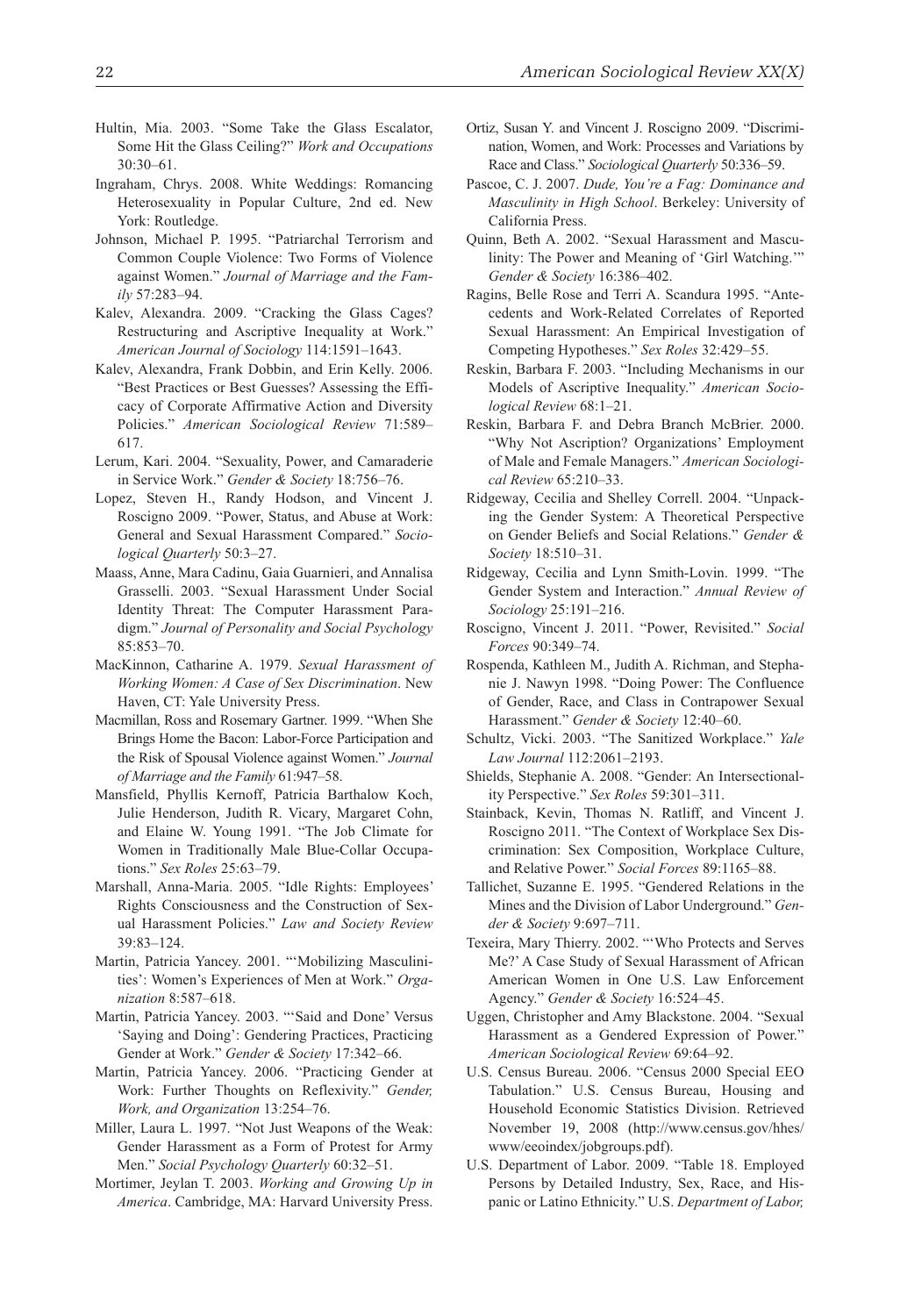- Hultin, Mia. 2003. "Some Take the Glass Escalator, Some Hit the Glass Ceiling?" *Work and Occupations* 30:30–61.
- Ingraham, Chrys. 2008. White Weddings: Romancing Heterosexuality in Popular Culture, 2nd ed. New York: Routledge.
- Johnson, Michael P. 1995. "Patriarchal Terrorism and Common Couple Violence: Two Forms of Violence against Women." *Journal of Marriage and the Family* 57:283–94.
- Kalev, Alexandra. 2009. "Cracking the Glass Cages? Restructuring and Ascriptive Inequality at Work." *American Journal of Sociology* 114:1591–1643.
- Kalev, Alexandra, Frank Dobbin, and Erin Kelly. 2006. "Best Practices or Best Guesses? Assessing the Efficacy of Corporate Affirmative Action and Diversity Policies." *American Sociological Review* 71:589– 617.
- Lerum, Kari. 2004. "Sexuality, Power, and Camaraderie in Service Work." *Gender & Society* 18:756–76.
- Lopez, Steven H., Randy Hodson, and Vincent J. Roscigno 2009. "Power, Status, and Abuse at Work: General and Sexual Harassment Compared." *Sociological Quarterly* 50:3–27.
- Maass, Anne, Mara Cadinu, Gaia Guarnieri, and Annalisa Grasselli. 2003. "Sexual Harassment Under Social Identity Threat: The Computer Harassment Paradigm." *Journal of Personality and Social Psychology* 85:853–70.
- MacKinnon, Catharine A. 1979. *Sexual Harassment of Working Women: A Case of Sex Discrimination*. New Haven, CT: Yale University Press.
- Macmillan, Ross and Rosemary Gartner. 1999. "When She Brings Home the Bacon: Labor-Force Participation and the Risk of Spousal Violence against Women." *Journal of Marriage and the Family* 61:947–58.
- Mansfield, Phyllis Kernoff, Patricia Barthalow Koch, Julie Henderson, Judith R. Vicary, Margaret Cohn, and Elaine W. Young 1991. "The Job Climate for Women in Traditionally Male Blue-Collar Occupations." *Sex Roles* 25:63–79.
- Marshall, Anna-Maria. 2005. "Idle Rights: Employees' Rights Consciousness and the Construction of Sexual Harassment Policies." *Law and Society Review* 39:83–124.
- Martin, Patricia Yancey. 2001. "'Mobilizing Masculinities': Women's Experiences of Men at Work." *Organization* 8:587–618.
- Martin, Patricia Yancey. 2003. "'Said and Done' Versus 'Saying and Doing': Gendering Practices, Practicing Gender at Work." *Gender & Society* 17:342–66.
- Martin, Patricia Yancey. 2006. "Practicing Gender at Work: Further Thoughts on Reflexivity." *Gender, Work, and Organization* 13:254–76.
- Miller, Laura L. 1997. "Not Just Weapons of the Weak: Gender Harassment as a Form of Protest for Army Men." *Social Psychology Quarterly* 60:32–51.
- Mortimer, Jeylan T. 2003. *Working and Growing Up in America*. Cambridge, MA: Harvard University Press.
- Ortiz, Susan Y. and Vincent J. Roscigno 2009. "Discrimination, Women, and Work: Processes and Variations by Race and Class." *Sociological Quarterly* 50:336–59.
- Pascoe, C. J. 2007. *Dude, You're a Fag: Dominance and Masculinity in High School*. Berkeley: University of California Press.
- Quinn, Beth A. 2002. "Sexual Harassment and Masculinity: The Power and Meaning of 'Girl Watching.'" *Gender & Society* 16:386–402.
- Ragins, Belle Rose and Terri A. Scandura 1995. "Antecedents and Work-Related Correlates of Reported Sexual Harassment: An Empirical Investigation of Competing Hypotheses." *Sex Roles* 32:429–55.
- Reskin, Barbara F. 2003. "Including Mechanisms in our Models of Ascriptive Inequality." *American Sociological Review* 68:1–21.
- Reskin, Barbara F. and Debra Branch McBrier. 2000. "Why Not Ascription? Organizations' Employment of Male and Female Managers." *American Sociological Review* 65:210–33.
- Ridgeway, Cecilia and Shelley Correll. 2004. "Unpacking the Gender System: A Theoretical Perspective on Gender Beliefs and Social Relations." *Gender & Society* 18:510–31.
- Ridgeway, Cecilia and Lynn Smith-Lovin. 1999. "The Gender System and Interaction." *Annual Review of Sociology* 25:191–216.
- Roscigno, Vincent J. 2011. "Power, Revisited." *Social Forces* 90:349–74.
- Rospenda, Kathleen M., Judith A. Richman, and Stephanie J. Nawyn 1998. "Doing Power: The Confluence of Gender, Race, and Class in Contrapower Sexual Harassment." *Gender & Society* 12:40–60.
- Schultz, Vicki. 2003. "The Sanitized Workplace." *Yale Law Journal* 112:2061–2193.
- Shields, Stephanie A. 2008. "Gender: An Intersectionality Perspective." *Sex Roles* 59:301–311.
- Stainback, Kevin, Thomas N. Ratliff, and Vincent J. Roscigno 2011. "The Context of Workplace Sex Discrimination: Sex Composition, Workplace Culture, and Relative Power." *Social Forces* 89:1165–88.
- Tallichet, Suzanne E. 1995. "Gendered Relations in the Mines and the Division of Labor Underground." *Gender & Society* 9:697–711.
- Texeira, Mary Thierry. 2002. "'Who Protects and Serves Me?' A Case Study of Sexual Harassment of African American Women in One U.S. Law Enforcement Agency." *Gender & Society* 16:524–45.
- Uggen, Christopher and Amy Blackstone. 2004. "Sexual Harassment as a Gendered Expression of Power." *American Sociological Review* 69:64–92.
- U.S. Census Bureau. 2006. "Census 2000 Special EEO Tabulation." U.S. Census Bureau, Housing and Household Economic Statistics Division. Retrieved November 19, 2008 (http://www.census.gov/hhes/ www/eeoindex/jobgroups.pdf).
- U.S. Department of Labor. 2009. "Table 18. Employed Persons by Detailed Industry, Sex, Race, and Hispanic or Latino Ethnicity." U.S. *Department of Labor,*